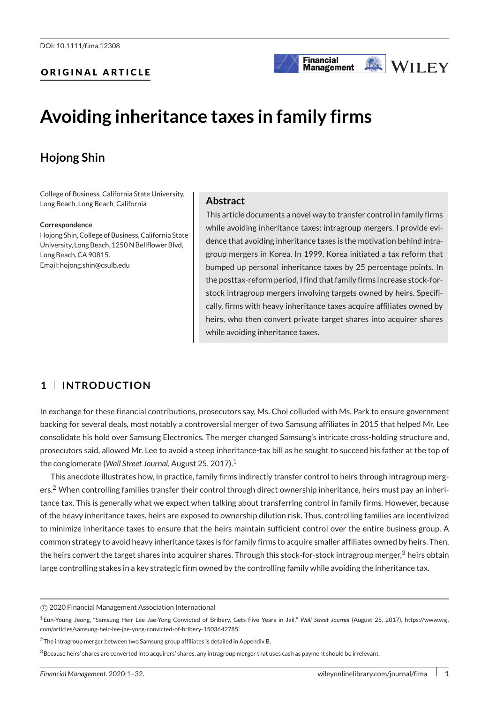

## **Avoiding inheritance taxes in family firms**

## **Hojong Shin**

College of Business, California State University, Long Beach, Long Beach, California

#### **Correspondence**

Hojong Shin, College of Business, California State University, Long Beach, 1250 N Bellflower Blvd, Long Beach, CA 90815. Email: hojong.shin@csulb.edu

## **Abstract**

This article documents a novel way to transfer control in family firms while avoiding inheritance taxes: intragroup mergers. I provide evidence that avoiding inheritance taxes is the motivation behind intragroup mergers in Korea. In 1999, Korea initiated a tax reform that bumped up personal inheritance taxes by 25 percentage points. In the posttax-reform period, I find that family firms increase stock-forstock intragroup mergers involving targets owned by heirs. Specifically, firms with heavy inheritance taxes acquire affiliates owned by heirs, who then convert private target shares into acquirer shares while avoiding inheritance taxes.

## **1 INTRODUCTION**

In exchange for these financial contributions, prosecutors say, Ms. Choi colluded with Ms. Park to ensure government backing for several deals, most notably a controversial merger of two Samsung affiliates in 2015 that helped Mr. Lee consolidate his hold over Samsung Electronics. The merger changed Samsung's intricate cross-holding structure and, prosecutors said, allowed Mr. Lee to avoid a steep inheritance-tax bill as he sought to succeed his father at the top of the conglomerate (*Wall Street Journal*, August 25, 2017).<sup>1</sup>

This anecdote illustrates how, in practice, family firms indirectly transfer control to heirs through intragroup mergers.<sup>2</sup> When controlling families transfer their control through direct ownership inheritance, heirs must pay an inheritance tax. This is generally what we expect when talking about transferring control in family firms. However, because of the heavy inheritance taxes, heirs are exposed to ownership dilution risk. Thus, controlling families are incentivized to minimize inheritance taxes to ensure that the heirs maintain sufficient control over the entire business group. A common strategy to avoid heavy inheritance taxes is for family firms to acquire smaller affiliates owned by heirs. Then, the heirs convert the target shares into acquirer shares. Through this stock-for-stock intragroup merger,<sup>3</sup> heirs obtain large controlling stakes in a key strategic firm owned by the controlling family while avoiding the inheritance tax.

2The intragroup merger between two Samsung group affiliates is detailed in Appendix B.

3Because heirs' shares are converted into acquirers' shares, any intragroup merger that uses cash as payment should be irrelevant.

<sup>-</sup>c 2020 Financial Management Association International

<sup>1</sup>Eun-Young Jeong, "Samsung Heir Lee Jae-Yong Convicted of Bribery, Gets Five Years in Jail," *Wall Street Journal* (August 25, 2017), [https://www.wsj.](https://www.wsj.com/articles/samsung-heir-lee-jae-yong-convicted-of-bribery-1503642785) [com/articles/samsung-heir-lee-jae-yong-convicted-of-bribery-1503642785.](https://www.wsj.com/articles/samsung-heir-lee-jae-yong-convicted-of-bribery-1503642785)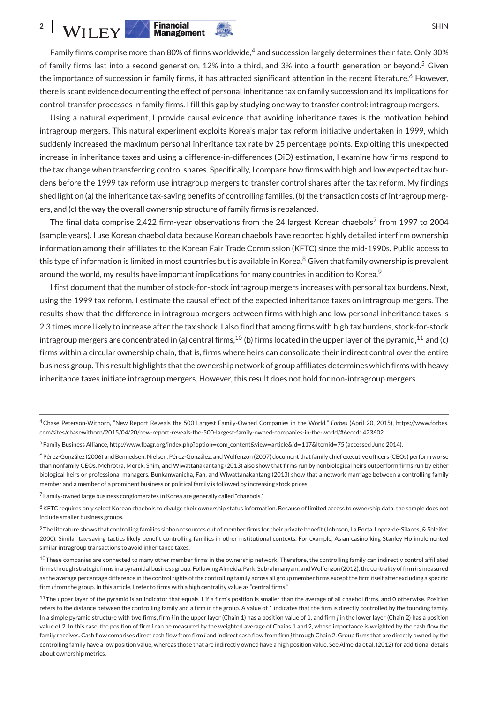Family firms comprise more than 80% of firms worldwide,<sup>4</sup> and succession largely determines their fate. Only 30% of family firms last into a second generation, 12% into a third, and 3% into a fourth generation or beyond.<sup>5</sup> Given the importance of succession in family firms, it has attracted significant attention in the recent literature.<sup>6</sup> However, there is scant evidence documenting the effect of personal inheritance tax on family succession and its implications for control-transfer processes in family firms. I fill this gap by studying one way to transfer control: intragroup mergers.

Using a natural experiment, I provide causal evidence that avoiding inheritance taxes is the motivation behind intragroup mergers. This natural experiment exploits Korea's major tax reform initiative undertaken in 1999, which suddenly increased the maximum personal inheritance tax rate by 25 percentage points. Exploiting this unexpected increase in inheritance taxes and using a difference-in-differences (DiD) estimation, I examine how firms respond to the tax change when transferring control shares. Specifically, I compare how firms with high and low expected tax burdens before the 1999 tax reform use intragroup mergers to transfer control shares after the tax reform. My findings shed light on (a) the inheritance tax-saving benefits of controlling families, (b) the transaction costs of intragroup mergers, and (c) the way the overall ownership structure of family firms is rebalanced.

The final data comprise 2,422 firm-year observations from the 24 largest Korean chaebols<sup>7</sup> from 1997 to 2004 (sample years). I use Korean chaebol data because Korean chaebols have reported highly detailed interfirm ownership information among their affiliates to the Korean Fair Trade Commission (KFTC) since the mid-1990s. Public access to this type of information is limited in most countries but is available in Korea.<sup>8</sup> Given that family ownership is prevalent around the world, my results have important implications for many countries in addition to Korea.<sup>9</sup>

I first document that the number of stock-for-stock intragroup mergers increases with personal tax burdens. Next, using the 1999 tax reform, I estimate the causal effect of the expected inheritance taxes on intragroup mergers. The results show that the difference in intragroup mergers between firms with high and low personal inheritance taxes is 2.3 times more likely to increase after the tax shock. I also find that among firms with high tax burdens, stock-for-stock intragroup mergers are concentrated in (a) central firms,<sup>10</sup> (b) firms located in the upper layer of the pyramid,<sup>11</sup> and (c) firms within a circular ownership chain, that is, firms where heirs can consolidate their indirect control over the entire business group. This result highlights that the ownership network of group affiliates determines which firms with heavy inheritance taxes initiate intragroup mergers. However, this result does not hold for non-intragroup mergers.

7Family-owned large business conglomerates in Korea are generally called "chaebols."

<sup>8</sup> KFTC requires only select Korean chaebols to divulge their ownership status information. Because of limited access to ownership data, the sample does not include smaller business groups.

<sup>4</sup>Chase Peterson-Withorn, "New Report Reveals the 500 Largest Family-Owned Companies in the World," *Forbes* (April 20, 2015), [https://www.forbes.](https://www.forbes.com/sites/chasewithorn/2015/04/20/new-report-reveals-the-500-largest-family-owned-companies-in-the-world/\0436eccd1423602) [com/sites/chasewithorn/2015/04/20/new-report-reveals-the-500-largest-family-owned-companies-in-the-world/#6eccd1423602.](https://www.forbes.com/sites/chasewithorn/2015/04/20/new-report-reveals-the-500-largest-family-owned-companies-in-the-world/\0436eccd1423602)

<sup>5</sup>Family Business Alliance, [http://www.fbagr.org/index.php?option](http://www.fbagr.org/index.php?option=com_content&view=article&id=117&Itemid=75)=com\_content&view=article&id=117&Itemid=75 (accessed June 2014).

<sup>6</sup>Pérez-González (2006) and Bennedsen, Nielsen, Pérez-González, andWolfenzon (2007) document that family chief executive officers (CEOs) perform worse than nonfamily CEOs. Mehrotra, Morck, Shim, and Wiwattanakantang (2013) also show that firms run by nonbiological heirs outperform firms run by either biological heirs or professional managers. Bunkanwanicha, Fan, and Wiwattanakantang (2013) show that a network marriage between a controlling family member and a member of a prominent business or political family is followed by increasing stock prices.

<sup>9</sup>The literature shows that controlling families siphon resources out of member firms for their private benefit (Johnson, La Porta, Lopez-de-Silanes, & Shleifer, 2000). Similar tax-saving tactics likely benefit controlling families in other institutional contexts. For example, Asian casino king Stanley Ho implemented similar intragroup transactions to avoid inheritance taxes.

<sup>&</sup>lt;sup>10</sup>These companies are connected to many other member firms in the ownership network. Therefore, the controlling family can indirectly control affiliated firms through strategic firms in a pyramidal business group. Following Almeida, Park, Subrahmanyam, andWolfenzon (2012), the centrality of firm *i* is measured as the average percentage difference in the control rights of the controlling family across all group member firms except the firm itself after excluding a specific firm *i* from the group. In this article, I refer to firms with a high centrality value as "central firms."

 $11$ The upper layer of the pyramid is an indicator that equals 1 if a firm's position is smaller than the average of all chaebol firms, and 0 otherwise. Position refers to the distance between the controlling family and a firm in the group. A value of 1 indicates that the firm is directly controlled by the founding family. In a simple pyramid structure with two firms, firm *i* in the upper layer (Chain 1) has a position value of 1, and firm *j* in the lower layer (Chain 2) has a position value of 2. In this case, the position of firm *i* can be measured by the weighted average of Chains 1 and 2, whose importance is weighted by the cash flow the family receives. Cash flow comprises direct cash flow from firm *i* and indirect cash flow from firm *j*through Chain 2. Group firms that are directly owned by the controlling family have a low position value, whereas those that are indirectly owned have a high position value. See Almeida et al. (2012) for additional details about ownership metrics.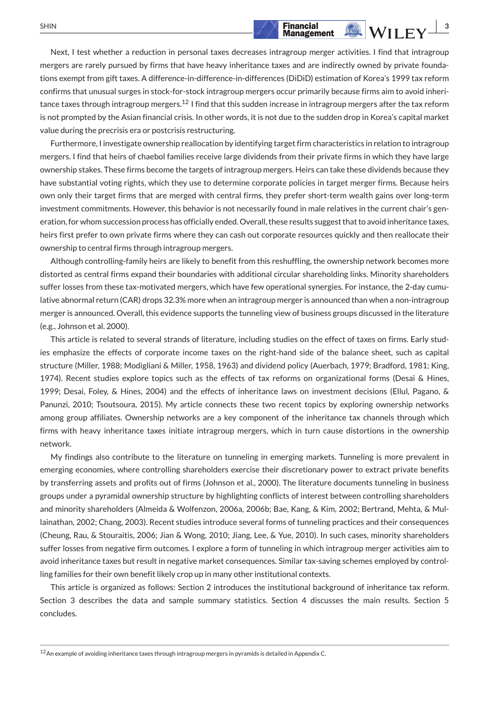Next, I test whether a reduction in personal taxes decreases intragroup merger activities. I find that intragroup mergers are rarely pursued by firms that have heavy inheritance taxes and are indirectly owned by private foundations exempt from gift taxes. A difference-in-difference-in-differences (DiDiD) estimation of Korea's 1999 tax reform confirms that unusual surges in stock-for-stock intragroup mergers occur primarily because firms aim to avoid inheritance taxes through intragroup mergers.<sup>12</sup> I find that this sudden increase in intragroup mergers after the tax reform is not prompted by the Asian financial crisis. In other words, it is not due to the sudden drop in Korea's capital market value during the precrisis era or postcrisis restructuring.

Furthermore, I investigate ownership reallocation by identifying target firm characteristics in relation to intragroup mergers. I find that heirs of chaebol families receive large dividends from their private firms in which they have large ownership stakes. These firms become the targets of intragroup mergers. Heirs can take these dividends because they have substantial voting rights, which they use to determine corporate policies in target merger firms. Because heirs own only their target firms that are merged with central firms, they prefer short-term wealth gains over long-term investment commitments. However, this behavior is not necessarily found in male relatives in the current chair's generation, for whom succession process has officially ended. Overall, these results suggest that to avoid inheritance taxes, heirs first prefer to own private firms where they can cash out corporate resources quickly and then reallocate their ownership to central firms through intragroup mergers.

Although controlling-family heirs are likely to benefit from this reshuffling, the ownership network becomes more distorted as central firms expand their boundaries with additional circular shareholding links. Minority shareholders suffer losses from these tax-motivated mergers, which have few operational synergies. For instance, the 2-day cumulative abnormal return (CAR) drops 32.3% more when an intragroup merger is announced than when a non-intragroup merger is announced. Overall, this evidence supports the tunneling view of business groups discussed in the literature (e.g., Johnson et al. 2000).

This article is related to several strands of literature, including studies on the effect of taxes on firms. Early studies emphasize the effects of corporate income taxes on the right-hand side of the balance sheet, such as capital structure (Miller, 1988; Modigliani & Miller, 1958, 1963) and dividend policy (Auerbach, 1979; Bradford, 1981; King, 1974). Recent studies explore topics such as the effects of tax reforms on organizational forms (Desai & Hines, 1999; Desai, Foley, & Hines, 2004) and the effects of inheritance laws on investment decisions (Ellul, Pagano, & Panunzi, 2010; Tsoutsoura, 2015). My article connects these two recent topics by exploring ownership networks among group affiliates. Ownership networks are a key component of the inheritance tax channels through which firms with heavy inheritance taxes initiate intragroup mergers, which in turn cause distortions in the ownership network.

My findings also contribute to the literature on tunneling in emerging markets. Tunneling is more prevalent in emerging economies, where controlling shareholders exercise their discretionary power to extract private benefits by transferring assets and profits out of firms (Johnson et al., 2000). The literature documents tunneling in business groups under a pyramidal ownership structure by highlighting conflicts of interest between controlling shareholders and minority shareholders (Almeida & Wolfenzon, 2006a, 2006b; Bae, Kang, & Kim, 2002; Bertrand, Mehta, & Mullainathan, 2002; Chang, 2003). Recent studies introduce several forms of tunneling practices and their consequences (Cheung, Rau, & Stouraitis, 2006; Jian & Wong, 2010; Jiang, Lee, & Yue, 2010). In such cases, minority shareholders suffer losses from negative firm outcomes. I explore a form of tunneling in which intragroup merger activities aim to avoid inheritance taxes but result in negative market consequences. Similar tax-saving schemes employed by controlling families for their own benefit likely crop up in many other institutional contexts.

This article is organized as follows: Section 2 introduces the institutional background of inheritance tax reform. Section 3 describes the data and sample summary statistics. Section 4 discusses the main results. Section 5 concludes.

 $12$ An example of avoiding inheritance taxes through intragroup mergers in pyramids is detailed in Appendix C.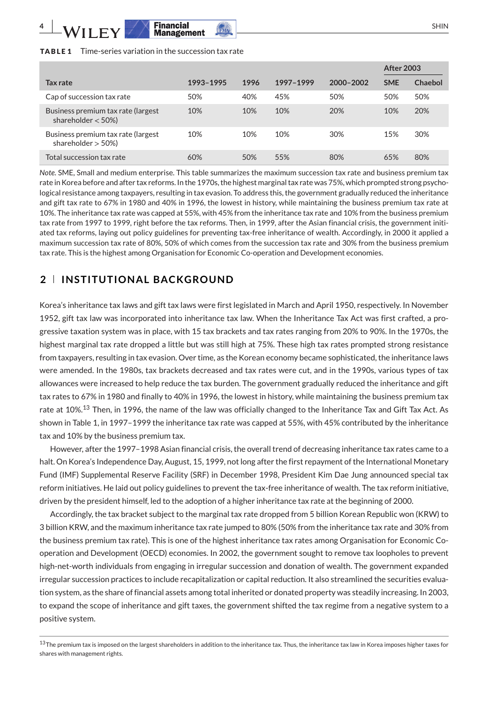## **TABLE 1** Time-series variation in the succession tax rate

|                                                             |           |      |           |           | <b>After 2003</b> |         |
|-------------------------------------------------------------|-----------|------|-----------|-----------|-------------------|---------|
| Tax rate                                                    | 1993-1995 | 1996 | 1997-1999 | 2000-2002 | <b>SME</b>        | Chaebol |
| Cap of succession tax rate                                  | 50%       | 40%  | 45%       | 50%       | 50%               | 50%     |
| Business premium tax rate (largest)<br>shareholder $<$ 50%) | 10%       | 10%  | 10%       | 20%       | 10%               | 20%     |
| Business premium tax rate (largest)<br>shareholder $>$ 50%) | 10%       | 10%  | 10%       | 30%       | 15%               | 30%     |
| Total succession tax rate                                   | 60%       | 50%  | 55%       | 80%       | 65%               | 80%     |

*Note*. SME, Small and medium enterprise. This table summarizes the maximum succession tax rate and business premium tax rate in Korea before and after tax reforms. In the 1970s, the highest marginal tax rate was 75%, which prompted strong psychological resistance among taxpayers, resulting in tax evasion. To address this, the government gradually reduced the inheritance and gift tax rate to 67% in 1980 and 40% in 1996, the lowest in history, while maintaining the business premium tax rate at 10%. The inheritance tax rate was capped at 55%, with 45% from the inheritance tax rate and 10% from the business premium tax rate from 1997 to 1999, right before the tax reforms. Then, in 1999, after the Asian financial crisis, the government initiated tax reforms, laying out policy guidelines for preventing tax-free inheritance of wealth. Accordingly, in 2000 it applied a maximum succession tax rate of 80%, 50% of which comes from the succession tax rate and 30% from the business premium tax rate. This is the highest among Organisation for Economic Co-operation and Development economies.

## **2 INSTITUTIONAL BACKGROUND**

Korea's inheritance tax laws and gift tax laws were first legislated in March and April 1950, respectively. In November 1952, gift tax law was incorporated into inheritance tax law. When the Inheritance Tax Act was first crafted, a progressive taxation system was in place, with 15 tax brackets and tax rates ranging from 20% to 90%. In the 1970s, the highest marginal tax rate dropped a little but was still high at 75%. These high tax rates prompted strong resistance from taxpayers, resulting in tax evasion. Over time, as the Korean economy became sophisticated, the inheritance laws were amended. In the 1980s, tax brackets decreased and tax rates were cut, and in the 1990s, various types of tax allowances were increased to help reduce the tax burden. The government gradually reduced the inheritance and gift tax rates to 67% in 1980 and finally to 40% in 1996, the lowest in history, while maintaining the business premium tax rate at 10%.<sup>13</sup> Then, in 1996, the name of the law was officially changed to the Inheritance Tax and Gift Tax Act. As shown in Table 1, in 1997–1999 the inheritance tax rate was capped at 55%, with 45% contributed by the inheritance tax and 10% by the business premium tax.

However, after the 1997–1998 Asian financial crisis, the overall trend of decreasing inheritance tax rates came to a halt. On Korea's Independence Day, August, 15, 1999, not long after the first repayment of the International Monetary Fund (IMF) Supplemental Reserve Facility (SRF) in December 1998, President Kim Dae Jung announced special tax reform initiatives. He laid out policy guidelines to prevent the tax-free inheritance of wealth. The tax reform initiative, driven by the president himself, led to the adoption of a higher inheritance tax rate at the beginning of 2000.

Accordingly, the tax bracket subject to the marginal tax rate dropped from 5 billion Korean Republic won (KRW) to 3 billion KRW, and the maximum inheritance tax rate jumped to 80% (50% from the inheritance tax rate and 30% from the business premium tax rate). This is one of the highest inheritance tax rates among Organisation for Economic Cooperation and Development (OECD) economies. In 2002, the government sought to remove tax loopholes to prevent high-net-worth individuals from engaging in irregular succession and donation of wealth. The government expanded irregular succession practices to include recapitalization or capital reduction. It also streamlined the securities evaluation system, as the share of financial assets among total inherited or donated property was steadily increasing. In 2003, to expand the scope of inheritance and gift taxes, the government shifted the tax regime from a negative system to a positive system.

 $13$ The premium tax is imposed on the largest shareholders in addition to the inheritance tax. Thus, the inheritance tax law in Korea imposes higher taxes for shares with management rights.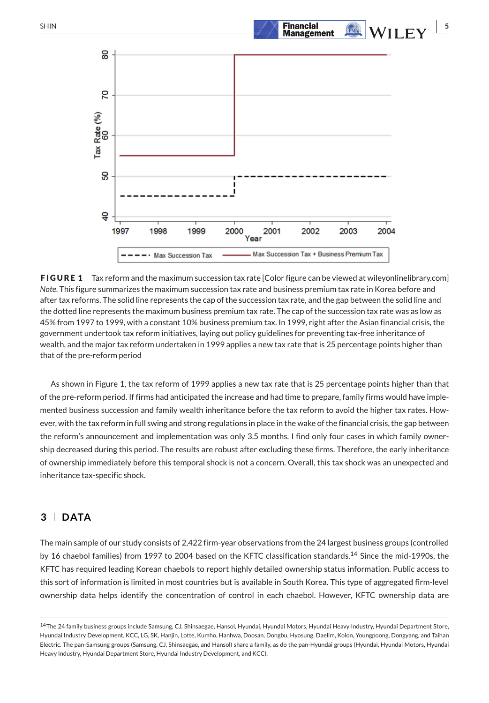SHIN **SHIN SHIN SHIN SHIN SHIN SHIN SHIN SHIN SHIN SHIN SHIN SHIN SHIN SHIN SHIN SHIN SHIN SHIN SHIN SHIN SHIN SHIN SHIN SHIN SHIN SHIN SHIN SHIN SHIN SHIN SHIN** 80 **P** Tax Rate (%)<br>60 ႙ å 1997 1999 2000 2002 2003 1998 2001 2004 Year Max Succession Tax + Business Premium Tax  $---$  Max Succession Tax

**FIGURE 1** Tax reform and the maximum succession tax rate [Color figure can be viewed at wileyonlinelibrary.com] *Note*. This figure summarizes the maximum succession tax rate and business premium tax rate in Korea before and after tax reforms. The solid line represents the cap of the succession tax rate, and the gap between the solid line and the dotted line represents the maximum business premium tax rate. The cap of the succession tax rate was as low as 45% from 1997 to 1999, with a constant 10% business premium tax. In 1999, right after the Asian financial crisis, the government undertook tax reform initiatives, laying out policy guidelines for preventing tax-free inheritance of wealth, and the major tax reform undertaken in 1999 applies a new tax rate that is 25 percentage points higher than that of the pre-reform period

As shown in Figure 1, the tax reform of 1999 applies a new tax rate that is 25 percentage points higher than that of the pre-reform period. If firms had anticipated the increase and had time to prepare, family firms would have implemented business succession and family wealth inheritance before the tax reform to avoid the higher tax rates. However, with the tax reform in full swing and strong regulations in place in the wake of the financial crisis, the gap between the reform's announcement and implementation was only 3.5 months. I find only four cases in which family ownership decreased during this period. The results are robust after excluding these firms. Therefore, the early inheritance of ownership immediately before this temporal shock is not a concern. Overall, this tax shock was an unexpected and inheritance tax-specific shock.

## **3 DATA**

The main sample of our study consists of 2,422 firm-year observations from the 24 largest business groups (controlled by 16 chaebol families) from 1997 to 2004 based on the KFTC classification standards.<sup>14</sup> Since the mid-1990s, the KFTC has required leading Korean chaebols to report highly detailed ownership status information. Public access to this sort of information is limited in most countries but is available in South Korea. This type of aggregated firm-level ownership data helps identify the concentration of control in each chaebol. However, KFTC ownership data are

<sup>&</sup>lt;sup>14</sup>The 24 family business groups include Samsung, CJ, Shinsaegae, Hansol, Hyundai, Hyundai Motors, Hyundai Heavy Industry, Hyundai Department Store, Hyundai Industry Development, KCC, LG, SK, Hanjin, Lotte, Kumho, Hanhwa, Doosan, Dongbu, Hyosung, Daelim, Kolon, Youngpoong, Dongyang, and Taihan Electric. The pan-Samsung groups (Samsung, CJ, Shinsaegae, and Hansol) share a family, as do the pan-Hyundai groups (Hyundai, Hyundai Motors, Hyundai Heavy Industry, Hyundai Department Store, Hyundai Industry Development, and KCC).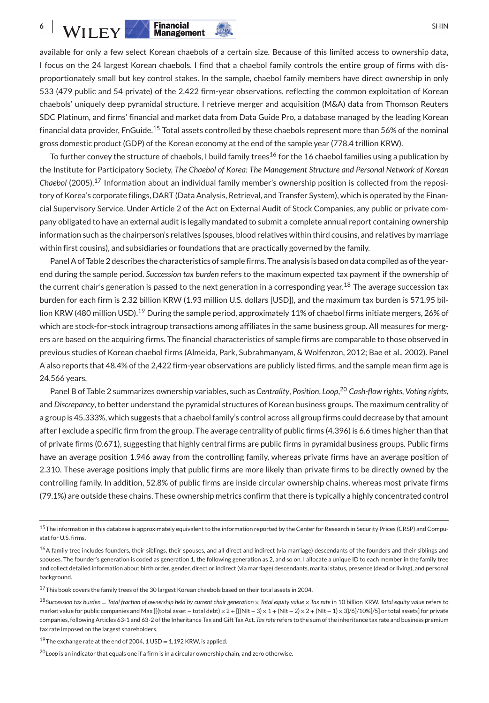available for only a few select Korean chaebols of a certain size. Because of this limited access to ownership data, I focus on the 24 largest Korean chaebols. I find that a chaebol family controls the entire group of firms with disproportionately small but key control stakes. In the sample, chaebol family members have direct ownership in only 533 (479 public and 54 private) of the 2,422 firm-year observations, reflecting the common exploitation of Korean chaebols' uniquely deep pyramidal structure. I retrieve merger and acquisition (M&A) data from Thomson Reuters SDC Platinum, and firms' financial and market data from Data Guide Pro, a database managed by the leading Korean financial data provider, FnGuide.<sup>15</sup> Total assets controlled by these chaebols represent more than 56% of the nominal gross domestic product (GDP) of the Korean economy at the end of the sample year (778.4 trillion KRW).

To further convey the structure of chaebols, I build family trees<sup>16</sup> for the 16 chaebol families using a publication by the Institute for Participatory Society, *The Chaebol of Korea: The Management Structure and Personal Network of Korean Chaebol* (2005).<sup>17</sup> Information about an individual family member's ownership position is collected from the repository of Korea's corporate filings, DART (Data Analysis, Retrieval, and Transfer System), which is operated by the Financial Supervisory Service. Under Article 2 of the Act on External Audit of Stock Companies, any public or private company obligated to have an external audit is legally mandated to submit a complete annual report containing ownership information such as the chairperson's relatives (spouses, blood relatives within third cousins, and relatives by marriage within first cousins), and subsidiaries or foundations that are practically governed by the family.

Panel A of Table 2 describes the characteristics of sample firms. The analysis is based on data compiled as of the yearend during the sample period. *Succession tax burden* refers to the maximum expected tax payment if the ownership of the current chair's generation is passed to the next generation in a corresponding year.<sup>18</sup> The average succession tax burden for each firm is 2.32 billion KRW (1.93 million U.S. dollars [USD]), and the maximum tax burden is 571.95 billion KRW (480 million USD).<sup>19</sup> During the sample period, approximately 11% of chaebol firms initiate mergers, 26% of which are stock-for-stock intragroup transactions among affiliates in the same business group. All measures for mergers are based on the acquiring firms. The financial characteristics of sample firms are comparable to those observed in previous studies of Korean chaebol firms (Almeida, Park, Subrahmanyam, & Wolfenzon, 2012; Bae et al., 2002). Panel A also reports that 48.4% of the 2,422 firm-year observations are publicly listed firms, and the sample mean firm age is 24.566 years.

Panel B of Table 2 summarizes ownership variables, such as *Centrality*, *Position*, *Loop*, <sup>20</sup> *Cash-flow rights*, *Voting rights*, and *Discrepancy*, to better understand the pyramidal structures of Korean business groups. The maximum centrality of a group is 45.333%, which suggests that a chaebol family's control across all group firms could decrease by that amount after I exclude a specific firm from the group. The average centrality of public firms (4.396) is 6.6 times higher than that of private firms (0.671), suggesting that highly central firms are public firms in pyramidal business groups. Public firms have an average position 1.946 away from the controlling family, whereas private firms have an average position of 2.310. These average positions imply that public firms are more likely than private firms to be directly owned by the controlling family. In addition, 52.8% of public firms are inside circular ownership chains, whereas most private firms (79.1%) are outside these chains. These ownership metrics confirm that there is typically a highly concentrated control

<sup>&</sup>lt;sup>15</sup>The information in this database is approximately equivalent to the information reported by the Center for Research in Security Prices (CRSP) and Compustat for U.S. firms.

<sup>&</sup>lt;sup>16</sup>A family tree includes founders, their siblings, their spouses, and all direct and indirect (via marriage) descendants of the founders and their siblings and spouses. The founder's generation is coded as generation 1, the following generation as 2, and so on. I allocate a unique ID to each member in the family tree and collect detailed information about birth order, gender, direct or indirect (via marriage) descendants, marital status, presence (dead or living), and personal background.

<sup>17</sup>This book covers the family trees of the 30 largest Korean chaebols based on their total assets in 2004.

<sup>18</sup>*Succession tax burden* = *Total fraction of ownership held by current chair generation* × *Total equity value* × *Tax rate* in 10 billion KRW. *Total equity value* refers to market value for public companies and Max [[(total asset – total debt) × 2 + [{(NIt − 3) × 1 + (NIt − 2) × 2 + (NIt − 1) × 3/6]/10%]/5] or total assets] for private companies, following Articles 63-1 and 63-2 of the Inheritance Tax and Gift Tax Act. *Tax rate* refers to the sum of the inheritance tax rate and business premium tax rate imposed on the largest shareholders.

<sup>&</sup>lt;sup>19</sup>The exchange rate at the end of 2004, 1 USD =  $1.192$  KRW, is applied.

<sup>20</sup>*Loop* is an indicator that equals one if a firm is in a circular ownership chain, and zero otherwise.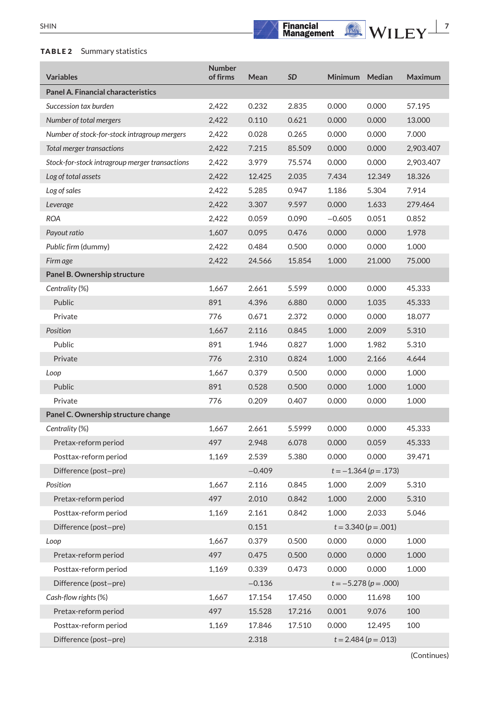

| <b>Variables</b>                               | <b>Number</b><br>of firms | Mean     | <b>SD</b> | Minimum Median |                         | Maximum   |
|------------------------------------------------|---------------------------|----------|-----------|----------------|-------------------------|-----------|
| <b>Panel A. Financial characteristics</b>      |                           |          |           |                |                         |           |
| Succession tax burden                          | 2,422                     | 0.232    | 2.835     | 0.000          | 0.000                   | 57.195    |
| Number of total mergers                        | 2,422                     | 0.110    | 0.621     | 0.000          | 0.000                   | 13.000    |
| Number of stock-for-stock intragroup mergers   | 2,422                     | 0.028    | 0.265     | 0.000          | 0.000                   | 7.000     |
| Total merger transactions                      | 2,422                     | 7.215    | 85.509    | 0.000          | 0.000                   | 2,903.407 |
| Stock-for-stock intragroup merger transactions | 2,422                     | 3.979    | 75.574    | 0.000          | 0.000                   | 2,903.407 |
| Log of total assets                            | 2,422                     | 12.425   | 2.035     | 7.434          | 12.349                  | 18.326    |
| Log of sales                                   | 2,422                     | 5.285    | 0.947     | 1.186          | 5.304                   | 7.914     |
| Leverage                                       | 2.422                     | 3.307    | 9.597     | 0.000          | 1.633                   | 279.464   |
| <b>ROA</b>                                     | 2,422                     | 0.059    | 0.090     | $-0.605$       | 0.051                   | 0.852     |
| Payout ratio                                   | 1,607                     | 0.095    | 0.476     | 0.000          | 0.000                   | 1.978     |
| Public firm (dummy)                            | 2,422                     | 0.484    | 0.500     | 0.000          | 0.000                   | 1.000     |
| Firm age                                       | 2,422                     | 24.566   | 15.854    | 1.000          | 21.000                  | 75.000    |
| Panel B. Ownership structure                   |                           |          |           |                |                         |           |
| Centrality (%)                                 | 1,667                     | 2.661    | 5.599     | 0.000          | 0.000                   | 45.333    |
| Public                                         | 891                       | 4.396    | 6.880     | 0.000          | 1.035                   | 45.333    |
| Private                                        | 776                       | 0.671    | 2.372     | 0.000          | 0.000                   | 18.077    |
| Position                                       | 1,667                     | 2.116    | 0.845     | 1.000          | 2.009                   | 5.310     |
| Public                                         | 891                       | 1.946    | 0.827     | 1.000          | 1.982                   | 5.310     |
| Private                                        | 776                       | 2.310    | 0.824     | 1.000          | 2.166                   | 4.644     |
| Loop                                           | 1,667                     | 0.379    | 0.500     | 0.000          | 0.000                   | 1.000     |
| Public                                         | 891                       | 0.528    | 0.500     | 0.000          | 1.000                   | 1.000     |
| Private                                        | 776                       | 0.209    | 0.407     | 0.000          | 0.000                   | 1.000     |
| Panel C. Ownership structure change            |                           |          |           |                |                         |           |
| Centrality (%)                                 | 1,667                     | 2.661    | 5.5999    | 0.000          | 0.000                   | 45.333    |
| Pretax-reform period                           | 497                       | 2.948    | 6.078     | 0.000          | 0.059                   | 45.333    |
| Posttax-reform period                          | 1,169                     | 2.539    | 5.380     | 0.000          | 0.000                   | 39.471    |
| Difference (post-pre)                          |                           | $-0.409$ |           |                | $t = -1.364 (p = .173)$ |           |
| Position                                       | 1,667                     | 2.116    | 0.845     | 1.000          | 2.009                   | 5.310     |
| Pretax-reform period                           | 497                       | 2.010    | 0.842     | 1.000          | 2.000                   | 5.310     |
| Posttax-reform period                          | 1,169                     | 2.161    | 0.842     | 1.000          | 2.033                   | 5.046     |
| Difference (post-pre)                          |                           | 0.151    |           |                | $t = 3.340 (p = .001)$  |           |
| Loop                                           | 1,667                     | 0.379    | 0.500     | 0.000          | 0.000                   | 1.000     |
| Pretax-reform period                           | 497                       | 0.475    | 0.500     | 0.000          | 0.000                   | 1.000     |
| Posttax-reform period                          | 1,169                     | 0.339    | 0.473     | 0.000          | 0.000                   | 1.000     |
| Difference (post-pre)                          |                           | $-0.136$ |           |                | $t = -5.278(p = .000)$  |           |
| Cash-flow rights (%)                           | 1,667                     | 17.154   | 17.450    | 0.000          | 11.698                  | 100       |
| Pretax-reform period                           | 497                       | 15.528   | 17.216    | 0.001          | 9.076                   | 100       |
| Posttax-reform period                          | 1,169                     | 17.846   | 17.510    | 0.000          | 12.495                  | 100       |
| Difference (post-pre)                          |                           | 2.318    |           |                | $t = 2.484 (p = .013)$  |           |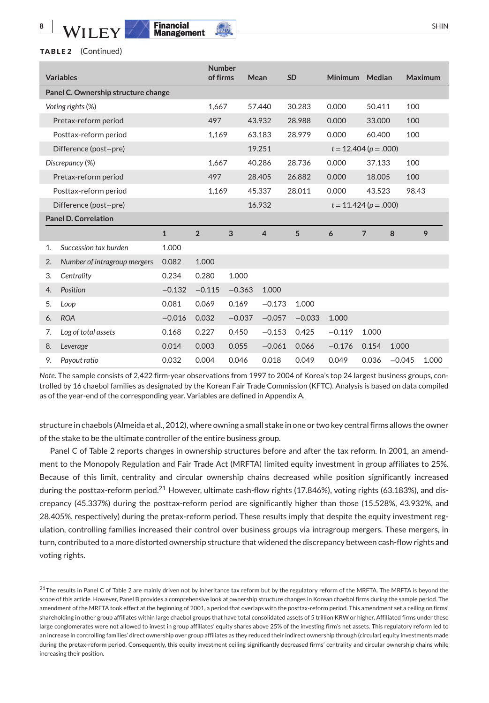## **TABLE 2** (Continued)

|    | <b>Variables</b>                    |              | <b>Number</b><br>of firms |          | Mean           |          | <b>SD</b> | Minimum                 | Median         |          | Maximum |
|----|-------------------------------------|--------------|---------------------------|----------|----------------|----------|-----------|-------------------------|----------------|----------|---------|
|    |                                     |              |                           |          |                |          |           |                         |                |          |         |
|    | Panel C. Ownership structure change |              |                           |          |                |          |           |                         |                |          |         |
|    | Voting rights (%)                   |              | 1.667                     |          | 57.440         |          | 30.283    | 0.000                   | 50.411         |          | 100     |
|    | Pretax-reform period                |              | 497                       |          | 43.932         |          | 28.988    | 0.000                   | 33,000         |          | 100     |
|    | Posttax-reform period               |              | 1,169                     |          | 63.183         |          | 28.979    | 0.000                   | 60.400         |          | 100     |
|    | Difference (post-pre)               |              |                           |          | 19.251         |          |           | $t = 12.404 (p = .000)$ |                |          |         |
|    | Discrepancy (%)                     |              | 1,667                     |          | 40.286         |          | 28.736    | 0.000                   | 37.133         |          | 100     |
|    | Pretax-reform period                |              | 497                       |          | 28.405         |          | 26.882    | 0.000                   | 18.005         |          | 100     |
|    | Posttax-reform period               |              | 1,169                     |          | 45.337         |          | 28.011    | 0.000                   | 43.523         |          | 98.43   |
|    | Difference (post-pre)               |              |                           |          | 16.932         |          |           | $t = 11.424 (p = .000)$ |                |          |         |
|    | <b>Panel D. Correlation</b>         |              |                           |          |                |          |           |                         |                |          |         |
|    |                                     | $\mathbf{1}$ | $\overline{2}$            | 3        | $\overline{4}$ |          | 5         | 6                       | $\overline{7}$ | 8        | 9       |
| 1. | Succession tax burden               | 1.000        |                           |          |                |          |           |                         |                |          |         |
| 2. | Number of intragroup mergers        | 0.082        | 1.000                     |          |                |          |           |                         |                |          |         |
| 3. | Centrality                          | 0.234        | 0.280                     | 1.000    |                |          |           |                         |                |          |         |
| 4. | Position                            | $-0.132$     | $-0.115$                  | $-0.363$ |                | 1.000    |           |                         |                |          |         |
| 5. | Loop                                | 0.081        | 0.069                     | 0.169    |                | $-0.173$ | 1.000     |                         |                |          |         |
| 6. | <b>ROA</b>                          | $-0.016$     | 0.032                     | $-0.037$ |                | $-0.057$ | $-0.033$  | 1.000                   |                |          |         |
| 7. | Log of total assets                 | 0.168        | 0.227                     | 0.450    |                | $-0.153$ | 0.425     | $-0.119$                | 1.000          |          |         |
| 8. | Leverage                            | 0.014        | 0.003                     | 0.055    |                | $-0.061$ | 0.066     | $-0.176$                | 0.154          | 1.000    |         |
| 9. | Payout ratio                        | 0.032        | 0.004                     | 0.046    |                | 0.018    | 0.049     | 0.049                   | 0.036          | $-0.045$ | 1.000   |

*Note*. The sample consists of 2,422 firm-year observations from 1997 to 2004 of Korea's top 24 largest business groups, controlled by 16 chaebol families as designated by the Korean Fair Trade Commission (KFTC). Analysis is based on data compiled as of the year-end of the corresponding year. Variables are defined in Appendix A.

structure in chaebols (Almeida et al., 2012), where owning a small stake in one or two key central firms allows the owner of the stake to be the ultimate controller of the entire business group.

Panel C of Table 2 reports changes in ownership structures before and after the tax reform. In 2001, an amendment to the Monopoly Regulation and Fair Trade Act (MRFTA) limited equity investment in group affiliates to 25%. Because of this limit, centrality and circular ownership chains decreased while position significantly increased during the posttax-reform period.<sup>21</sup> However, ultimate cash-flow rights (17.846%), voting rights (63.183%), and discrepancy (45.337%) during the posttax-reform period are significantly higher than those (15.528%, 43.932%, and 28.405%, respectively) during the pretax-reform period. These results imply that despite the equity investment regulation, controlling families increased their control over business groups via intragroup mergers. These mergers, in turn, contributed to a more distorted ownership structure that widened the discrepancy between cash-flow rights and voting rights.

 $^{21}$ The results in Panel C of Table 2 are mainly driven not by inheritance tax reform but by the regulatory reform of the MRFTA. The MRFTA is beyond the scope of this article. However, Panel B provides a comprehensive look at ownership structure changes in Korean chaebol firms during the sample period. The amendment of the MRFTA took effect at the beginning of 2001, a period that overlaps with the posttax-reform period. This amendment set a ceiling on firms' shareholding in other group affiliates within large chaebol groups that have total consolidated assets of 5 trillion KRW or higher. Affiliated firms under these large conglomerates were not allowed to invest in group affiliates' equity shares above 25% of the investing firm's net assets. This regulatory reform led to an increase in controlling families' direct ownership over group affiliates as they reduced their indirect ownership through (circular) equity investments made during the pretax-reform period. Consequently, this equity investment ceiling significantly decreased firms' centrality and circular ownership chains while increasing their position.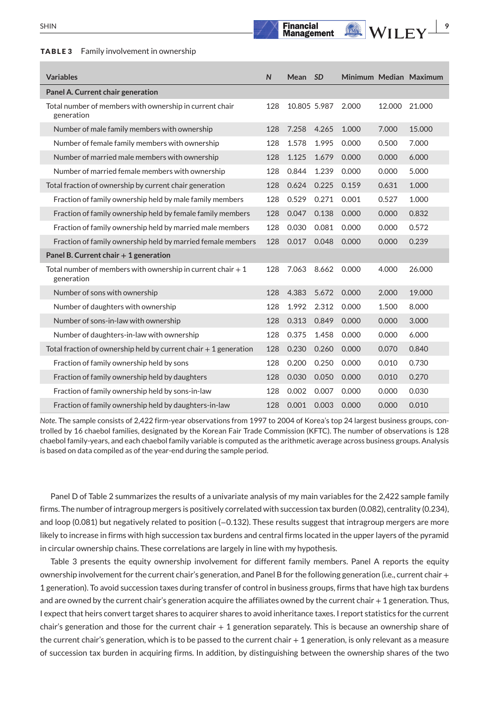

| <b>Variables</b>                                                           | $\mathsf{N}$ | Mean SD      |       |       |        | Minimum Median Maximum |
|----------------------------------------------------------------------------|--------------|--------------|-------|-------|--------|------------------------|
| Panel A. Current chair generation                                          |              |              |       |       |        |                        |
| Total number of members with ownership in current chair<br>generation      | 128          | 10.805 5.987 |       | 2.000 | 12.000 | 21.000                 |
| Number of male family members with ownership                               | 128          | 7.258        | 4.265 | 1.000 | 7.000  | 15.000                 |
| Number of female family members with ownership                             | 128          | 1.578        | 1.995 | 0.000 | 0.500  | 7.000                  |
| Number of married male members with ownership                              | 128          | 1.125        | 1.679 | 0.000 | 0.000  | 6.000                  |
| Number of married female members with ownership                            | 128          | 0.844        | 1.239 | 0.000 | 0.000  | 5.000                  |
| Total fraction of ownership by current chair generation                    | 128          | 0.624        | 0.225 | 0.159 | 0.631  | 1.000                  |
| Fraction of family ownership held by male family members                   | 128          | 0.529        | 0.271 | 0.001 | 0.527  | 1.000                  |
| Fraction of family ownership held by female family members                 | 128          | 0.047        | 0.138 | 0.000 | 0.000  | 0.832                  |
| Fraction of family ownership held by married male members                  | 128          | 0.030        | 0.081 | 0.000 | 0.000  | 0.572                  |
| Fraction of family ownership held by married female members                | 128          | 0.017        | 0.048 | 0.000 | 0.000  | 0.239                  |
| Panel B. Current chair + 1 generation                                      |              |              |       |       |        |                        |
| Total number of members with ownership in current chair $+1$<br>generation | 128          | 7.063        | 8.662 | 0.000 | 4.000  | 26.000                 |
| Number of sons with ownership                                              | 128          | 4.383        | 5.672 | 0.000 | 2.000  | 19.000                 |
| Number of daughters with ownership                                         | 128          | 1.992        | 2.312 | 0.000 | 1.500  | 8.000                  |
| Number of sons-in-law with ownership                                       | 128          | 0.313        | 0.849 | 0.000 | 0.000  | 3.000                  |
| Number of daughters-in-law with ownership                                  | 128          | 0.375        | 1.458 | 0.000 | 0.000  | 6.000                  |
| Total fraction of ownership held by current chair $+1$ generation          | 128          | 0.230        | 0.260 | 0.000 | 0.070  | 0.840                  |
| Fraction of family ownership held by sons                                  | 128          | 0.200        | 0.250 | 0.000 | 0.010  | 0.730                  |
| Fraction of family ownership held by daughters                             | 128          | 0.030        | 0.050 | 0.000 | 0.010  | 0.270                  |
| Fraction of family ownership held by sons-in-law                           | 128          | 0.002        | 0.007 | 0.000 | 0.000  | 0.030                  |
| Fraction of family ownership held by daughters-in-law                      | 128          | 0.001        | 0.003 | 0.000 | 0.000  | 0.010                  |

*Note*. The sample consists of 2,422 firm-year observations from 1997 to 2004 of Korea's top 24 largest business groups, controlled by 16 chaebol families, designated by the Korean Fair Trade Commission (KFTC). The number of observations is 128 chaebol family-years, and each chaebol family variable is computed as the arithmetic average across business groups. Analysis is based on data compiled as of the year-end during the sample period.

Panel D of Table 2 summarizes the results of a univariate analysis of my main variables for the 2,422 sample family firms. The number of intragroup mergers is positively correlated with succession tax burden (0.082), centrality (0.234), and loop (0.081) but negatively related to position (−0.132). These results suggest that intragroup mergers are more likely to increase in firms with high succession tax burdens and central firms located in the upper layers of the pyramid in circular ownership chains. These correlations are largely in line with my hypothesis.

Table 3 presents the equity ownership involvement for different family members. Panel A reports the equity ownership involvement for the current chair's generation, and Panel B for the following generation (i.e., current chair + 1 generation). To avoid succession taxes during transfer of control in business groups, firms that have high tax burdens and are owned by the current chair's generation acquire the affiliates owned by the current chair + 1 generation. Thus, I expect that heirs convert target shares to acquirer shares to avoid inheritance taxes. I report statistics for the current chair's generation and those for the current chair  $+1$  generation separately. This is because an ownership share of the current chair's generation, which is to be passed to the current chair + 1 generation, is only relevant as a measure of succession tax burden in acquiring firms. In addition, by distinguishing between the ownership shares of the two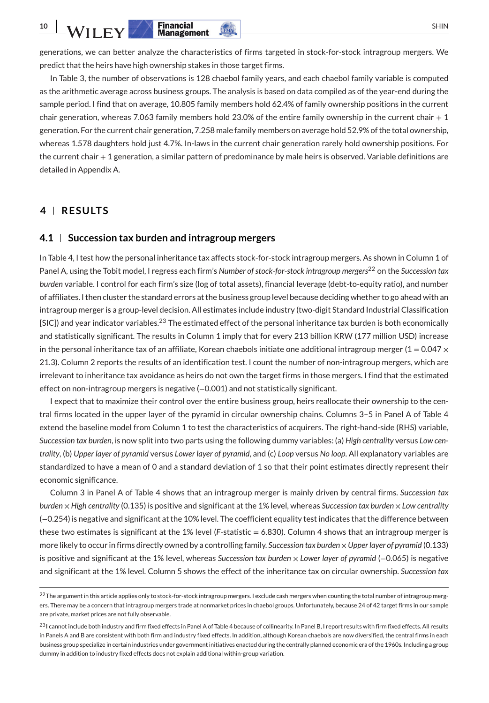generations, we can better analyze the characteristics of firms targeted in stock-for-stock intragroup mergers. We predict that the heirs have high ownership stakes in those target firms.

In Table 3, the number of observations is 128 chaebol family years, and each chaebol family variable is computed as the arithmetic average across business groups. The analysis is based on data compiled as of the year-end during the sample period. I find that on average, 10.805 family members hold 62.4% of family ownership positions in the current chair generation, whereas 7.063 family members hold 23.0% of the entire family ownership in the current chair  $+1$ generation. For the current chair generation, 7.258 male family members on average hold 52.9% of the total ownership, whereas 1.578 daughters hold just 4.7%. In-laws in the current chair generation rarely hold ownership positions. For the current chair + 1 generation, a similar pattern of predominance by male heirs is observed. Variable definitions are detailed in Appendix A.

## **4 RESULTS**

## **4.1 Succession tax burden and intragroup mergers**

In Table 4, I test how the personal inheritance tax affects stock-for-stock intragroup mergers. As shown in Column 1 of Panel A, using the Tobit model, I regress each firm's *Number of stock-for-stock intragroup mergers*<sup>22</sup> on the *Succession tax burden* variable. I control for each firm's size (log of total assets), financial leverage (debt-to-equity ratio), and number of affiliates. I then cluster the standard errors at the business group level because deciding whether to go ahead with an intragroup merger is a group-level decision. All estimates include industry (two-digit Standard Industrial Classification [SIC]) and year indicator variables.<sup>23</sup> The estimated effect of the personal inheritance tax burden is both economically and statistically significant. The results in Column 1 imply that for every 213 billion KRW (177 million USD) increase in the personal inheritance tax of an affiliate, Korean chaebols initiate one additional intragroup merger ( $1 = 0.047 \times$ 21.3). Column 2 reports the results of an identification test. I count the number of non-intragroup mergers, which are irrelevant to inheritance tax avoidance as heirs do not own the target firms in those mergers. I find that the estimated effect on non-intragroup mergers is negative (-0.001) and not statistically significant.

I expect that to maximize their control over the entire business group, heirs reallocate their ownership to the central firms located in the upper layer of the pyramid in circular ownership chains. Columns 3–5 in Panel A of Table 4 extend the baseline model from Column 1 to test the characteristics of acquirers. The right-hand-side (RHS) variable, *Succession tax burden*, is now split into two parts using the following dummy variables: (a) *High centrality* versus *Low centrality*, (b) *Upper layer of pyramid* versus *Lower layer of pyramid*, and (c) *Loop* versus *No loop*. All explanatory variables are standardized to have a mean of 0 and a standard deviation of 1 so that their point estimates directly represent their economic significance.

Column 3 in Panel A of Table 4 shows that an intragroup merger is mainly driven by central firms. *Succession tax burden* × *High centrality* (0.135) is positive and significant at the 1% level, whereas *Succession tax burden* × *Low centrality* (−0.254) is negative and significant at the 10% level. The coefficient equality test indicates that the difference between these two estimates is significant at the 1% level (*F*-statistic = 6.830). Column 4 shows that an intragroup merger is more likely to occur in firms directly owned by a controlling family. *Succession tax burden* ×*Upper layer of pyramid* (0.133) is positive and significant at the 1% level, whereas *Succession tax burden* × *Lower layer of pyramid* (−0.065) is negative and significant at the 1% level. Column 5 shows the effect of the inheritance tax on circular ownership. *Succession tax*

<sup>&</sup>lt;sup>22</sup>The argument in this article applies only to stock-for-stock intragroup mergers. I exclude cash mergers when counting the total number of intragroup mergers. There may be a concern that intragroup mergers trade at nonmarket prices in chaebol groups. Unfortunately, because 24 of 42 target firms in our sample are private, market prices are not fully observable.

 $^{23}$ I cannot include both industry and firm fixed effects in Panel A of Table 4 because of collinearity. In Panel B, I report results with firm fixed effects. All results in Panels A and B are consistent with both firm and industry fixed effects. In addition, although Korean chaebols are now diversified, the central firms in each business group specialize in certain industries under government initiatives enacted during the centrally planned economic era of the 1960s. Including a group dummy in addition to industry fixed effects does not explain additional within-group variation.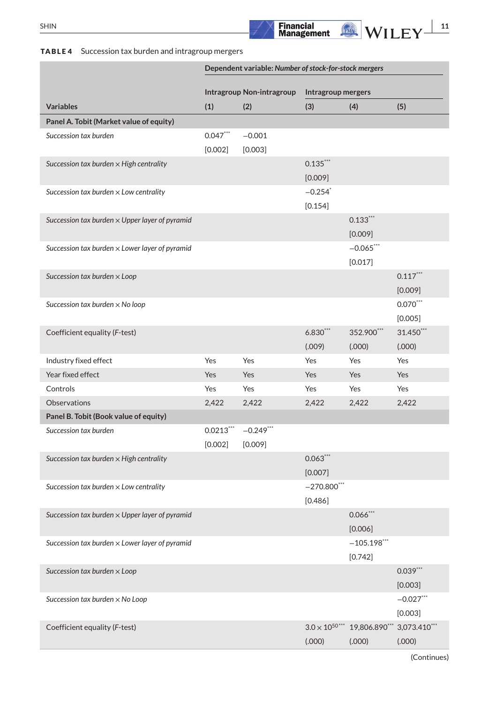×.



|                                                       | Dependent variable: Number of stock-for-stock mergers |                           |                       |                                                    |             |
|-------------------------------------------------------|-------------------------------------------------------|---------------------------|-----------------------|----------------------------------------------------|-------------|
|                                                       |                                                       | Intragroup Non-intragroup | Intragroup mergers    |                                                    |             |
| <b>Variables</b>                                      | (1)                                                   | (2)                       | (3)                   | (4)                                                | (5)         |
| Panel A. Tobit (Market value of equity)               |                                                       |                           |                       |                                                    |             |
| Succession tax burden                                 | $0.047***$                                            | $-0.001$                  |                       |                                                    |             |
|                                                       | $[0.002]$                                             | [0.003]                   |                       |                                                    |             |
| Succession tax burden x High centrality               |                                                       |                           | $0.135***$            |                                                    |             |
|                                                       |                                                       |                           | [0.009]               |                                                    |             |
| Succession tax burden $\times$ Low centrality         |                                                       |                           | $-0.254$ <sup>*</sup> |                                                    |             |
|                                                       |                                                       |                           | [0.154]               |                                                    |             |
| Succession tax burden $\times$ Upper layer of pyramid |                                                       |                           |                       | $0.133***$                                         |             |
|                                                       |                                                       |                           |                       | [0.009]                                            |             |
| Succession tax burden $\times$ Lower layer of pyramid |                                                       |                           |                       | $-0.065$ ***                                       |             |
|                                                       |                                                       |                           |                       | [0.017]                                            |             |
| Succession tax burden x Loop                          |                                                       |                           |                       |                                                    | $0.117***$  |
|                                                       |                                                       |                           |                       |                                                    | [0.009]     |
| Succession tax burden x No loop                       |                                                       |                           |                       |                                                    | $0.070***$  |
|                                                       |                                                       |                           |                       |                                                    | [0.005]     |
| Coefficient equality (F-test)                         |                                                       |                           | $6.830***$            | 352.900***                                         | 31.450***   |
|                                                       |                                                       |                           | (.009)                | (000)                                              | (000)       |
| Industry fixed effect                                 | Yes                                                   | Yes                       | Yes                   | Yes                                                | Yes         |
| Year fixed effect                                     | Yes                                                   | Yes                       | Yes                   | Yes                                                | Yes         |
| Controls                                              | Yes                                                   | Yes                       | Yes                   | Yes                                                | Yes         |
| <b>Observations</b>                                   | 2,422                                                 | 2,422                     | 2,422                 | 2,422                                              | 2,422       |
| Panel B. Tobit (Book value of equity)                 |                                                       |                           |                       |                                                    |             |
| Succession tax burden                                 | $0.0213***$                                           | $-0.249***$               |                       |                                                    |             |
|                                                       | $[0.002]$                                             | [0.009]                   |                       |                                                    |             |
| Succession tax burden $\times$ High centrality        |                                                       |                           | $0.063***$            |                                                    |             |
|                                                       |                                                       |                           | [0.007]               |                                                    |             |
| Succession tax burden $\times$ Low centrality         |                                                       |                           | $-270.800$ ***        |                                                    |             |
|                                                       |                                                       |                           | [0.486]               |                                                    |             |
| Succession tax burden $\times$ Upper layer of pyramid |                                                       |                           |                       | $0.066$ ***                                        |             |
|                                                       |                                                       |                           |                       | [0.006]                                            |             |
| Succession tax burden $\times$ Lower layer of pyramid |                                                       |                           |                       | $-105.198$ ***                                     |             |
|                                                       |                                                       |                           |                       | [0.742]                                            |             |
| Succession tax burden x Loop                          |                                                       |                           |                       |                                                    | $0.039***$  |
|                                                       |                                                       |                           |                       |                                                    | [0.003]     |
| Succession tax burden x No Loop                       |                                                       |                           |                       |                                                    | $-0.027***$ |
|                                                       |                                                       |                           |                       |                                                    | [0.003]     |
| Coefficient equality (F-test)                         |                                                       |                           |                       | $3.0 \times 10^{50***}$ 19,806.890*** 3,073.410*** |             |
|                                                       |                                                       |                           | (.000)                | (000)                                              | (000)       |

(Continues)

÷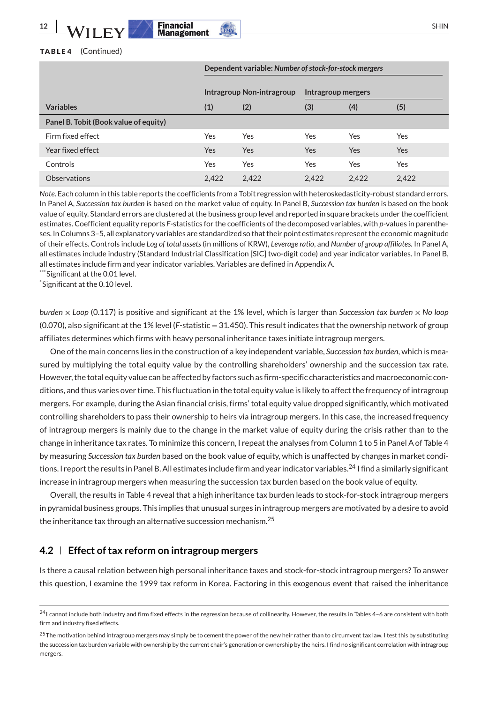## **TABLE 4** (Continued)

|                                       | Dependent variable: Number of stock-for-stock mergers |                           |                    |       |       |  |  |
|---------------------------------------|-------------------------------------------------------|---------------------------|--------------------|-------|-------|--|--|
|                                       |                                                       | Intragroup Non-intragroup | Intragroup mergers |       |       |  |  |
| <b>Variables</b>                      | (1)                                                   | (2)                       | (3)                | (4)   | (5)   |  |  |
| Panel B. Tobit (Book value of equity) |                                                       |                           |                    |       |       |  |  |
| Firm fixed effect                     | Yes                                                   | Yes                       | Yes                | Yes   | Yes   |  |  |
| Year fixed effect                     | Yes                                                   | Yes                       | <b>Yes</b>         | Yes   | Yes   |  |  |
| Controls                              | Yes                                                   | Yes                       | Yes                | Yes   | Yes   |  |  |
| <b>Observations</b>                   | 2,422                                                 | 2.422                     | 2,422              | 2,422 | 2,422 |  |  |

*Note*. Each column in this table reports the coefficients from a Tobit regression with heteroskedasticity-robust standard errors. In Panel A, *Succession tax burden* is based on the market value of equity. In Panel B, *Succession tax burden* is based on the book value of equity. Standard errors are clustered at the business group level and reported in square brackets under the coefficient estimates. Coefficient equality reports *F*-statistics for the coefficients of the decomposed variables, with *p*-values in parentheses. In Columns 3–5, all explanatory variables are standardized so that their point estimates represent the economic magnitude of their effects. Controls include *Log of total assets*(in millions of KRW), *Leverage ratio*, and *Number of group affiliates*. In Panel A, all estimates include industry (Standard Industrial Classification [SIC] two-digit code) and year indicator variables. In Panel B, all estimates include firm and year indicator variables. Variables are defined in Appendix A.

\*\*\*Significant at the 0.01 level.

\* Significant at the 0.10 level.

*burden* × *Loop* (0.117) is positive and significant at the 1% level, which is larger than *Succession tax burden* × *No loop* (0.070), also significant at the 1% level (*F*-statistic = 31.450). This result indicates that the ownership network of group affiliates determines which firms with heavy personal inheritance taxes initiate intragroup mergers.

One of the main concerns lies in the construction of a key independent variable, *Succession tax burden*, which is measured by multiplying the total equity value by the controlling shareholders' ownership and the succession tax rate. However, the total equity value can be affected by factors such as firm-specific characteristics and macroeconomic conditions, and thus varies over time. This fluctuation in the total equity value is likely to affect the frequency of intragroup mergers. For example, during the Asian financial crisis, firms' total equity value dropped significantly, which motivated controlling shareholders to pass their ownership to heirs via intragroup mergers. In this case, the increased frequency of intragroup mergers is mainly due to the change in the market value of equity during the crisis rather than to the change in inheritance tax rates. To minimize this concern, I repeat the analyses from Column 1 to 5 in Panel A of Table 4 by measuring *Succession tax burden* based on the book value of equity, which is unaffected by changes in market conditions. I report the results in Panel B. All estimates include firm and year indicator variables.<sup>24</sup> I find a similarly significant increase in intragroup mergers when measuring the succession tax burden based on the book value of equity.

Overall, the results in Table 4 reveal that a high inheritance tax burden leads to stock-for-stock intragroup mergers in pyramidal business groups. This implies that unusual surges in intragroup mergers are motivated by a desire to avoid the inheritance tax through an alternative succession mechanism.<sup>25</sup>

## **4.2 Effect of tax reform on intragroup mergers**

Is there a causal relation between high personal inheritance taxes and stock-for-stock intragroup mergers? To answer this question, I examine the 1999 tax reform in Korea. Factoring in this exogenous event that raised the inheritance

<sup>24</sup>I cannot include both industry and firm fixed effects in the regression because of collinearity. However, the results in Tables 4–6 are consistent with both firm and industry fixed effects.

 $^{25}$ The motivation behind intragroup mergers may simply be to cement the power of the new heir rather than to circumvent tax law. I test this by substituting the succession tax burden variable with ownership by the current chair's generation or ownership by the heirs. I find no significant correlation with intragroup mergers.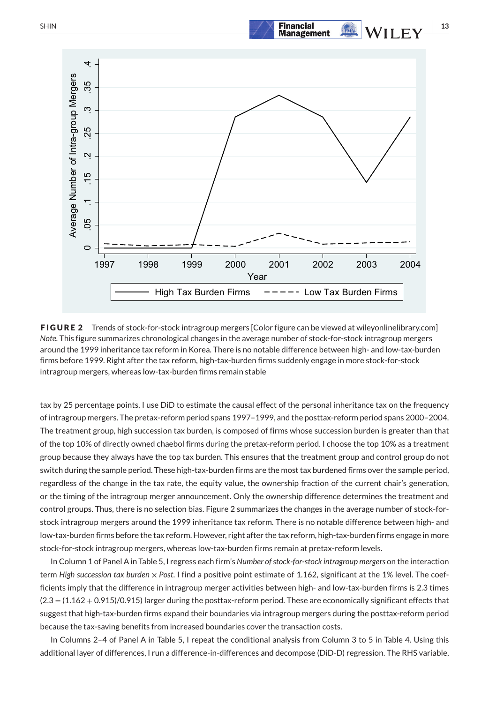

**FIGURE 2** Trends of stock-for-stock intragroup mergers [Color figure can be viewed at wileyonlinelibrary.com] *Note*. This figure summarizes chronological changes in the average number of stock-for-stock intragroup mergers around the 1999 inheritance tax reform in Korea. There is no notable difference between high- and low-tax-burden firms before 1999. Right after the tax reform, high-tax-burden firms suddenly engage in more stock-for-stock intragroup mergers, whereas low-tax-burden firms remain stable

tax by 25 percentage points, I use DiD to estimate the causal effect of the personal inheritance tax on the frequency of intragroup mergers. The pretax-reform period spans 1997–1999, and the posttax-reform period spans 2000–2004. The treatment group, high succession tax burden, is composed of firms whose succession burden is greater than that of the top 10% of directly owned chaebol firms during the pretax-reform period. I choose the top 10% as a treatment group because they always have the top tax burden. This ensures that the treatment group and control group do not switch during the sample period. These high-tax-burden firms are the most tax burdened firms over the sample period, regardless of the change in the tax rate, the equity value, the ownership fraction of the current chair's generation, or the timing of the intragroup merger announcement. Only the ownership difference determines the treatment and control groups. Thus, there is no selection bias. Figure 2 summarizes the changes in the average number of stock-forstock intragroup mergers around the 1999 inheritance tax reform. There is no notable difference between high- and low-tax-burden firms before the tax reform. However, right after the tax reform, high-tax-burden firms engage in more stock-for-stock intragroup mergers, whereas low-tax-burden firms remain at pretax-reform levels.

In Column 1 of Panel A in Table 5, I regress each firm's *Number of stock-for-stock intragroup mergers* on the interaction term *High succession tax burden* × *Post*. I find a positive point estimate of 1.162, significant at the 1% level. The coefficients imply that the difference in intragroup merger activities between high- and low-tax-burden firms is 2.3 times  $(2.3 = (1.162 + 0.915)/0.915)$  larger during the posttax-reform period. These are economically significant effects that suggest that high-tax-burden firms expand their boundaries via intragroup mergers during the posttax-reform period because the tax-saving benefits from increased boundaries cover the transaction costs.

In Columns 2–4 of Panel A in Table 5, I repeat the conditional analysis from Column 3 to 5 in Table 4. Using this additional layer of differences, I run a difference-in-differences and decompose (DiD-D) regression. The RHS variable,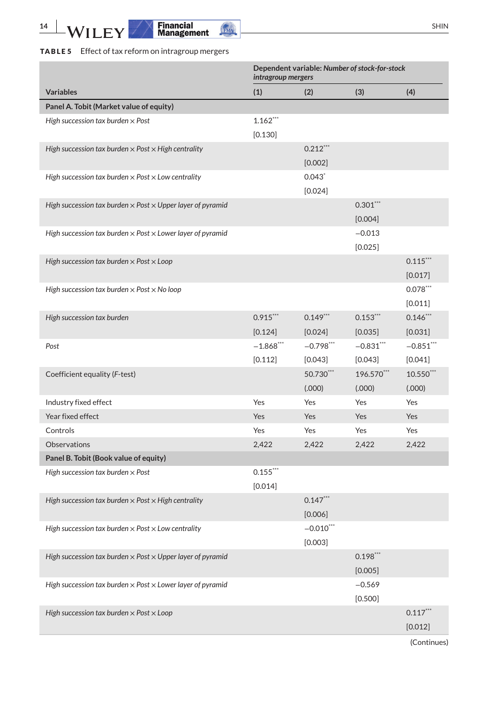



## **TABLE 5** Effect of tax reform on intragroup mergers

|                                                                          | Dependent variable: Number of stock-for-stock<br>intragroup mergers |             |             |             |  |  |
|--------------------------------------------------------------------------|---------------------------------------------------------------------|-------------|-------------|-------------|--|--|
| <b>Variables</b>                                                         | (1)                                                                 | (2)         | (3)         | (4)         |  |  |
| Panel A. Tobit (Market value of equity)                                  |                                                                     |             |             |             |  |  |
| High succession tax burden $\times$ Post                                 | $1.162***$                                                          |             |             |             |  |  |
|                                                                          | [0.130]                                                             |             |             |             |  |  |
| High succession tax burden $\times$ Post $\times$ High centrality        |                                                                     | $0.212***$  |             |             |  |  |
|                                                                          |                                                                     | [0.002]     |             |             |  |  |
| High succession tax burden $\times$ Post $\times$ Low centrality         |                                                                     | 0.043       |             |             |  |  |
|                                                                          |                                                                     | [0.024]     |             |             |  |  |
| High succession tax burden $\times$ Post $\times$ Upper layer of pyramid |                                                                     |             | $0.301***$  |             |  |  |
|                                                                          |                                                                     |             | [0.004]     |             |  |  |
| High succession tax burden $\times$ Post $\times$ Lower layer of pyramid |                                                                     |             | $-0.013$    |             |  |  |
|                                                                          |                                                                     |             | [0.025]     |             |  |  |
| High succession tax burden $\times$ Post $\times$ Loop                   |                                                                     |             |             | $0.115***$  |  |  |
|                                                                          |                                                                     |             |             | [0.017]     |  |  |
| High succession tax burden $\times$ Post $\times$ No loop                |                                                                     |             |             | $0.078***$  |  |  |
|                                                                          |                                                                     |             |             | [0.011]     |  |  |
| High succession tax burden                                               | $0.915***$                                                          | $0.149***$  | $0.153***$  | $0.146***$  |  |  |
|                                                                          | [0.124]                                                             | [0.024]     | [0.035]     | [0.031]     |  |  |
| Post                                                                     | $-1.868***$                                                         | $-0.798***$ | $-0.831***$ | $-0.851$    |  |  |
|                                                                          | [0.112]                                                             | [0.043]     | [0.043]     | [0.041]     |  |  |
| Coefficient equality (F-test)                                            |                                                                     | 50.730***   | 196.570***  | $10.550***$ |  |  |
|                                                                          |                                                                     | (000)       | (.000)      | (.000)      |  |  |
| Industry fixed effect                                                    | Yes                                                                 | Yes         | Yes         | Yes         |  |  |
| Year fixed effect                                                        | Yes                                                                 | Yes         | Yes         | Yes         |  |  |
| Controls                                                                 | Yes                                                                 | Yes         | Yes         | Yes         |  |  |
| Observations                                                             | 2,422                                                               | 2,422       | 2,422       | 2,422       |  |  |
| Panel B. Tobit (Book value of equity)                                    |                                                                     |             |             |             |  |  |
| High succession tax burden $\times$ Post                                 | $0.155***$                                                          |             |             |             |  |  |
|                                                                          | [0.014]                                                             |             |             |             |  |  |
| High succession tax burden $\times$ Post $\times$ High centrality        |                                                                     | $0.147$ *** |             |             |  |  |
|                                                                          |                                                                     | [0.006]     |             |             |  |  |
| High succession tax burden $\times$ Post $\times$ Low centrality         |                                                                     | $-0.010***$ |             |             |  |  |
|                                                                          |                                                                     | [0.003]     |             |             |  |  |
| High succession tax burden $\times$ Post $\times$ Upper layer of pyramid |                                                                     |             | $0.198***$  |             |  |  |
|                                                                          |                                                                     |             | [0.005]     |             |  |  |
| High succession tax burden $\times$ Post $\times$ Lower layer of pyramid |                                                                     |             | $-0.569$    |             |  |  |
|                                                                          |                                                                     |             | [0.500]     |             |  |  |
| High succession tax burden x Post x Loop                                 |                                                                     |             |             | $0.117***$  |  |  |
|                                                                          |                                                                     |             |             | [0.012]     |  |  |
|                                                                          |                                                                     |             |             | (Continued) |  |  |

(Continues)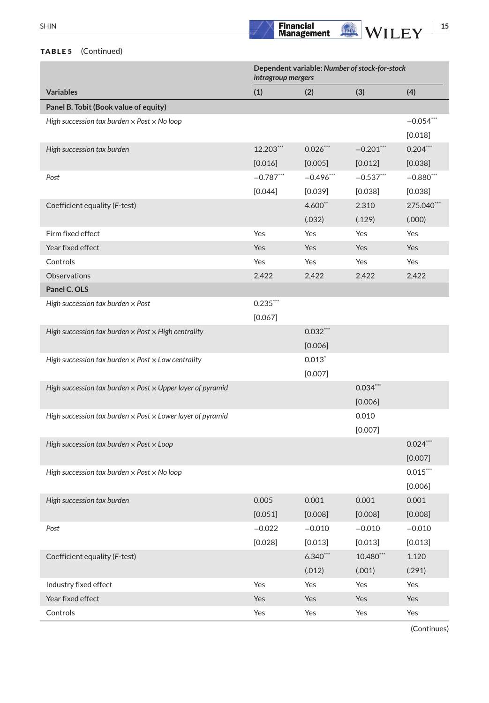## **TABLE 5** (Continued)

|                                                                          | Dependent variable: Number of stock-for-stock<br>intragroup mergers |                      |             |              |  |  |
|--------------------------------------------------------------------------|---------------------------------------------------------------------|----------------------|-------------|--------------|--|--|
| <b>Variables</b>                                                         | (1)                                                                 | (2)                  | (3)         | (4)          |  |  |
| Panel B. Tobit (Book value of equity)                                    |                                                                     |                      |             |              |  |  |
| High succession tax burden $\times$ Post $\times$ No loop                |                                                                     |                      |             | $-0.054$ *** |  |  |
|                                                                          |                                                                     |                      |             | [0.018]      |  |  |
| High succession tax burden                                               | 12.203***                                                           | $0.026***$           | $-0.201***$ | $0.204***$   |  |  |
|                                                                          | [0.016]                                                             | [0.005]              | [0.012]     | [0.038]      |  |  |
| Post                                                                     | $-0.787***$                                                         | $-0.496***$          | $-0.537***$ | $-0.880$ *** |  |  |
|                                                                          | [0.044]                                                             | [0.039]              | [0.038]     | [0.038]      |  |  |
| Coefficient equality (F-test)                                            |                                                                     | 4.600**              | 2.310       | 275.040***   |  |  |
|                                                                          |                                                                     | (.032)               | (.129)      | (0.000)      |  |  |
| Firm fixed effect                                                        | Yes                                                                 | Yes                  | Yes         | Yes          |  |  |
| Year fixed effect                                                        | Yes                                                                 | Yes                  | Yes         | Yes          |  |  |
| Controls                                                                 | Yes                                                                 | Yes                  | Yes         | Yes          |  |  |
| Observations                                                             | 2,422                                                               | 2,422                | 2,422       | 2,422        |  |  |
| Panel C. OLS                                                             |                                                                     |                      |             |              |  |  |
| High succession tax burden $\times$ Post                                 | $0.235***$                                                          |                      |             |              |  |  |
|                                                                          | [0.067]                                                             |                      |             |              |  |  |
| High succession tax burden $\times$ Post $\times$ High centrality        |                                                                     | $0.032***$           |             |              |  |  |
|                                                                          |                                                                     | [0.006]              |             |              |  |  |
| High succession tax burden $\times$ Post $\times$ Low centrality         |                                                                     | $0.013$ <sup>*</sup> |             |              |  |  |
|                                                                          |                                                                     | [0.007]              |             |              |  |  |
| High succession tax burden $\times$ Post $\times$ Upper layer of pyramid |                                                                     |                      | $0.034***$  |              |  |  |
|                                                                          |                                                                     |                      | [0.006]     |              |  |  |
| High succession tax burden $\times$ Post $\times$ Lower layer of pyramid |                                                                     |                      | 0.010       |              |  |  |
|                                                                          |                                                                     |                      | [0.007]     |              |  |  |
| High succession tax burden $\times$ Post $\times$ Loop                   |                                                                     |                      |             | $0.024$ ***  |  |  |
|                                                                          |                                                                     |                      |             | [0.007]      |  |  |
| High succession tax burden $\times$ Post $\times$ No loop                |                                                                     |                      |             | $0.015***$   |  |  |
|                                                                          |                                                                     |                      |             | [0.006]      |  |  |
| High succession tax burden                                               | 0.005                                                               | 0.001                | 0.001       | 0.001        |  |  |
|                                                                          | [0.051]                                                             | [0.008]              | [0.008]     | [0.008]      |  |  |
| Post                                                                     | $-0.022$                                                            | $-0.010$             | $-0.010$    | $-0.010$     |  |  |
|                                                                          | [0.028]                                                             | [0.013]              | [0.013]     | [0.013]      |  |  |
| Coefficient equality (F-test)                                            |                                                                     | $6.340***$           | 10.480***   | 1.120        |  |  |
|                                                                          |                                                                     | (.012)               | (.001)      | (.291)       |  |  |
| Industry fixed effect                                                    | Yes                                                                 | Yes                  | Yes         | Yes          |  |  |
| Year fixed effect                                                        | Yes                                                                 | Yes                  | Yes         | Yes          |  |  |
| Controls                                                                 | Yes                                                                 | Yes                  | Yes         | Yes          |  |  |

(Continues)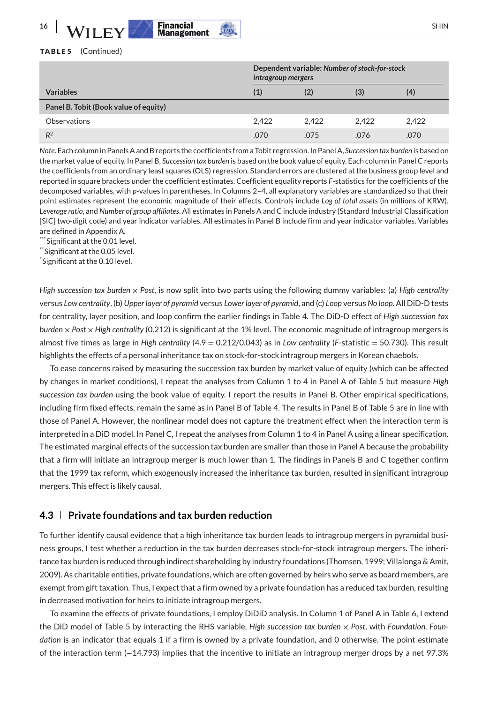## **TABLE 5** (Continued)

|                                       | Dependent variable: Number of stock-for-stock<br>intragroup mergers |       |       |       |  |  |  |
|---------------------------------------|---------------------------------------------------------------------|-------|-------|-------|--|--|--|
| <b>Variables</b>                      | (1)                                                                 | (2)   | (3)   | (4)   |  |  |  |
| Panel B. Tobit (Book value of equity) |                                                                     |       |       |       |  |  |  |
| <b>Observations</b>                   | 2.422                                                               | 2.422 | 2.422 | 2.422 |  |  |  |
| $R^2$                                 | .070<br>.075<br>.076<br>.070                                        |       |       |       |  |  |  |

*Note*. Each column in Panels A and B reports the coefficients from a Tobit regression. In Panel A, *Succession tax burden* is based on the market value of equity. In Panel B, *Succession tax burden* is based on the book value of equity. Each column in Panel C reports the coefficients from an ordinary least squares (OLS) regression. Standard errors are clustered at the business group level and reported in square brackets under the coefficient estimates. Coefficient equality reports *F*-statistics for the coefficients of the decomposed variables, with *p*-values in parentheses. In Columns 2–4, all explanatory variables are standardized so that their point estimates represent the economic magnitude of their effects. Controls include *Log of total assets* (in millions of KRW), *Leverage ratio*, and *Number of group affiliates*. All estimates in Panels A and C include industry (Standard Industrial Classification [SIC] two-digit code) and year indicator variables. All estimates in Panel B include firm and year indicator variables. Variables are defined in Appendix A.

 $^*$ Significant at the 0.01 level.

\*\*Significant at the 0.05 level.

\* Significant at the 0.10 level.

*High succession tax burden* × *Post*, is now split into two parts using the following dummy variables: (a) *High centrality* versus *Low centrality*, (b) *Upper layer of pyramid* versus *Lower layer of pyramid*, and (c) *Loop* versus *No loop*. All DiD-D tests for centrality, layer position, and loop confirm the earlier findings in Table 4. The DiD-D effect of *High succession tax burden* × *Post* × *High centrality* (0.212) is significant at the 1% level. The economic magnitude of intragroup mergers is almost five times as large in *High centrality* (4.9 = 0.212/0.043) as in *Low centrality* (*F*-statistic = 50.730). This result highlights the effects of a personal inheritance tax on stock-for-stock intragroup mergers in Korean chaebols.

To ease concerns raised by measuring the succession tax burden by market value of equity (which can be affected by changes in market conditions), I repeat the analyses from Column 1 to 4 in Panel A of Table 5 but measure *High succession tax burden* using the book value of equity. I report the results in Panel B. Other empirical specifications, including firm fixed effects, remain the same as in Panel B of Table 4. The results in Panel B of Table 5 are in line with those of Panel A. However, the nonlinear model does not capture the treatment effect when the interaction term is interpreted in a DiD model. In Panel C, I repeat the analyses from Column 1 to 4 in Panel A using a linear specification. The estimated marginal effects of the succession tax burden are smaller than those in Panel A because the probability that a firm will initiate an intragroup merger is much lower than 1. The findings in Panels B and C together confirm that the 1999 tax reform, which exogenously increased the inheritance tax burden, resulted in significant intragroup mergers. This effect is likely causal.

## **4.3 Private foundations and tax burden reduction**

To further identify causal evidence that a high inheritance tax burden leads to intragroup mergers in pyramidal business groups, I test whether a reduction in the tax burden decreases stock-for-stock intragroup mergers. The inheritance tax burden is reduced through indirect shareholding by industry foundations (Thomsen, 1999; Villalonga & Amit, 2009). As charitable entities, private foundations, which are often governed by heirs who serve as board members, are exempt from gift taxation. Thus, I expect that a firm owned by a private foundation has a reduced tax burden, resulting in decreased motivation for heirs to initiate intragroup mergers.

To examine the effects of private foundations, I employ DiDiD analysis. In Column 1 of Panel A in Table 6, I extend the DiD model of Table 5 by interacting the RHS variable, *High succession tax burden* × *Post*, with *Foundation*. *Foundation* is an indicator that equals 1 if a firm is owned by a private foundation, and 0 otherwise. The point estimate of the interaction term (−14.793) implies that the incentive to initiate an intragroup merger drops by a net 97.3%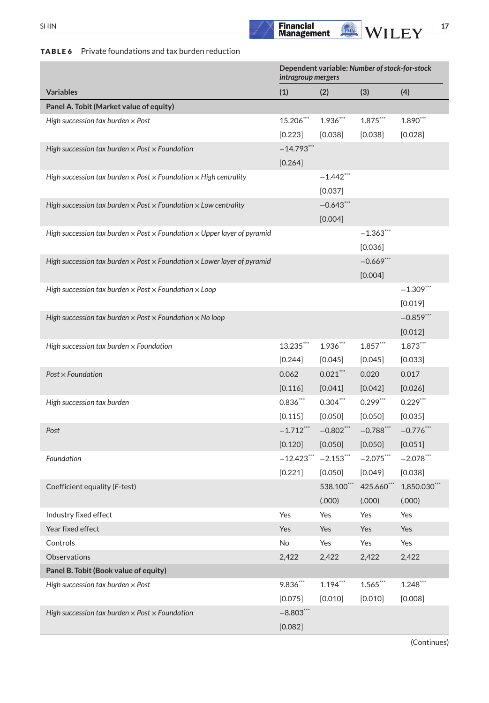

## **TABLE 6** Private foundations and tax burden reduction

|                                                                                              | Dependent variable: Number of stock-for-stock<br>intragroup mergers |              |              |                           |
|----------------------------------------------------------------------------------------------|---------------------------------------------------------------------|--------------|--------------|---------------------------|
| <b>Variables</b>                                                                             | (1)                                                                 | (2)          | (3)          | (4)                       |
| Panel A. Tobit (Market value of equity)                                                      |                                                                     |              |              |                           |
| High succession tax burden $\times$ Post                                                     | 15.206***                                                           | 1.936***     | 1.875***     | 1.890***                  |
|                                                                                              | [0.223]                                                             | [0.038]      | [0.038]      | [0.028]                   |
| High succession tax burden $\times$ Post $\times$ Foundation                                 | $-14.793***$                                                        |              |              |                           |
|                                                                                              | [0.264]                                                             |              |              |                           |
| High succession tax burden $\times$ Post $\times$ Foundation $\times$ High centrality        |                                                                     | $-1.442***$  |              |                           |
|                                                                                              |                                                                     | [0.037]      |              |                           |
| High succession tax burden $\times$ Post $\times$ Foundation $\times$ Low centrality         |                                                                     | $-0.643***$  |              |                           |
|                                                                                              |                                                                     | [0.004]      |              |                           |
| High succession tax burden $\times$ Post $\times$ Foundation $\times$ Upper layer of pyramid |                                                                     |              | $-1.363$ *** |                           |
|                                                                                              |                                                                     |              | [0.036]      |                           |
| High succession tax burden $\times$ Post $\times$ Foundation $\times$ Lower layer of pyramid |                                                                     |              | $-0.669***$  |                           |
|                                                                                              |                                                                     |              | [0.004]      |                           |
| High succession tax burden $\times$ Post $\times$ Foundation $\times$ Loop                   |                                                                     |              |              | $-1.309***$               |
|                                                                                              |                                                                     |              |              | [0.019]                   |
| High succession tax burden $\times$ Post $\times$ Foundation $\times$ No loop                |                                                                     |              |              | $-0.859***$               |
|                                                                                              |                                                                     |              |              | [0.012]                   |
| High succession tax burden $\times$ Foundation                                               | $13.235***$                                                         | 1.936***     | $1.857***$   | $1.873***$                |
|                                                                                              | [0.244]                                                             | [0.045]      | [0.045]      | $[0.033]$                 |
| $Post \times Foundation$                                                                     | 0.062                                                               | $0.021***$   | 0.020        | 0.017                     |
|                                                                                              | [0.116]                                                             | [0.041]      | [0.042]      | [0.026]                   |
| High succession tax burden                                                                   | $0.836***$                                                          | $0.304***$   | $0.299***$   | $0.229$ $\cdot\cdot\cdot$ |
|                                                                                              | [0.115]                                                             | [0.050]      | [0.050]      | [0.035]                   |
| Post                                                                                         | $-1.712***$                                                         | $-0.802$ *** | $-0.788$ *** | $-0.776***$               |
|                                                                                              | [0.120]                                                             | [0.050]      | [0.050]      | [0.051]                   |
| Foundation                                                                                   | $-12.423$                                                           | $-2.153***$  | $-2.075***$  | $-2.078***$               |
|                                                                                              | [0.221]                                                             | [0.050]      | [0.049]      | [0.038]                   |
| Coefficient equality (F-test)                                                                |                                                                     | 538.100***   | 425.660***   | 1,850.030***              |
|                                                                                              |                                                                     | (000)        | (.000)       | (000)                     |
| Industry fixed effect                                                                        | Yes                                                                 | Yes          | Yes          | Yes                       |
| Year fixed effect                                                                            | Yes                                                                 | Yes          | Yes          | Yes                       |
| Controls                                                                                     | No                                                                  | Yes          | Yes          | Yes                       |
| Observations                                                                                 | 2,422                                                               | 2,422        | 2,422        | 2,422                     |
| Panel B. Tobit (Book value of equity)                                                        |                                                                     |              | 1.565***     |                           |
| High succession tax burden $\times$ Post                                                     | 9.836***                                                            | 1.194***     |              | 1.248***                  |
| High succession tax burden $\times$ Post $\times$ Foundation                                 | [0.075]<br>$-8.803***$                                              | [0.010]      | [0.010]      | [0.008]                   |
|                                                                                              |                                                                     |              |              |                           |
|                                                                                              | [0.082]                                                             |              |              |                           |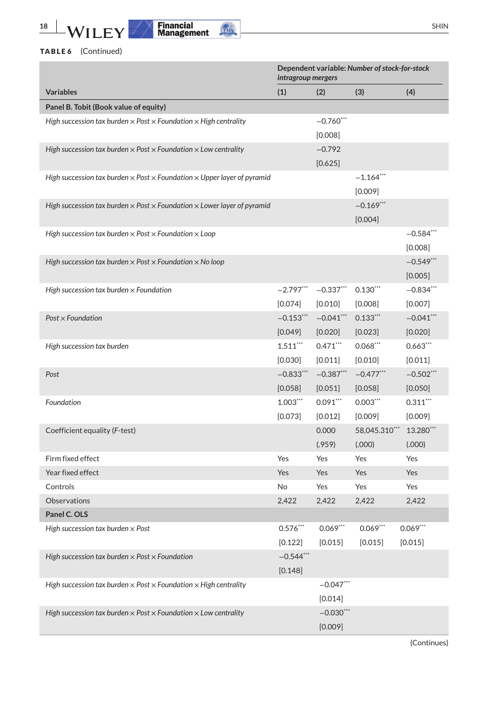# **18** WILEY **Management Constant Construct Constant Construct** SHIN



## **TABLE 6** (Continued)

|                                                                                              | intragroup mergers |              | Dependent variable: Number of stock-for-stock |              |
|----------------------------------------------------------------------------------------------|--------------------|--------------|-----------------------------------------------|--------------|
| <b>Variables</b>                                                                             | (1)                | (2)          | (3)                                           | (4)          |
| Panel B. Tobit (Book value of equity)                                                        |                    |              |                                               |              |
| High succession tax burden $\times$ Post $\times$ Foundation $\times$ High centrality        |                    | $-0.760$ *** |                                               |              |
|                                                                                              |                    | [0.008]      |                                               |              |
| High succession tax burden $\times$ Post $\times$ Foundation $\times$ Low centrality         |                    | $-0.792$     |                                               |              |
|                                                                                              |                    | [0.625]      |                                               |              |
| High succession tax burden $\times$ Post $\times$ Foundation $\times$ Upper layer of pyramid |                    |              | $-1.164$ ***                                  |              |
|                                                                                              |                    |              | [0.009]                                       |              |
| High succession tax burden $\times$ Post $\times$ Foundation $\times$ Lower layer of pyramid |                    |              | $-0.169***$                                   |              |
|                                                                                              |                    |              | [0.004]                                       |              |
| High succession tax burden $\times$ Post $\times$ Foundation $\times$ Loop                   |                    |              |                                               | $-0.584$ *** |
|                                                                                              |                    |              |                                               | [0.008]      |
| High succession tax burden $\times$ Post $\times$ Foundation $\times$ No loop                |                    |              |                                               | $-0.549***$  |
|                                                                                              |                    |              |                                               | [0.005]      |
| High succession tax burden $\times$ Foundation                                               | $-2.797***$        | $-0.337***$  | $0.130***$                                    | $-0.834***$  |
|                                                                                              | [0.074]            | [0.010]      | [0.008]                                       | [0.007]      |
| $Post \times Foundation$                                                                     | $-0.153***$        | $-0.041$ *** | $0.133***$                                    | $-0.041***$  |
|                                                                                              | [0.049]            | [0.020]      | [0.023]                                       | [0.020]      |
| High succession tax burden                                                                   | $1.511***$         | $0.471***$   | $0.068***$                                    | $0.663***$   |
|                                                                                              | [0.030]            | [0.011]      | [0.010]                                       | [0.011]      |
| Post                                                                                         | $-0.833***$        | $-0.387***$  | $-0.477***$                                   | $-0.502***$  |
|                                                                                              | [0.058]            | [0.051]      | [0.058]                                       | [0.050]      |
| Foundation                                                                                   | $1.003***$         | $0.091***$   | $0.003***$                                    | $0.311***$   |
|                                                                                              | $[0.073]$          | [0.012]      | $[0.009]$                                     | [0.009]      |
| Coefficient equality (F-test)                                                                |                    | 0.000        | 58,045.310***                                 | 13.280***    |
|                                                                                              |                    | (.959)       | (0.000)                                       | (000)        |
| Firm fixed effect                                                                            | Yes                | Yes          | Yes                                           | Yes          |
| Year fixed effect                                                                            | Yes                | Yes          | Yes                                           | Yes          |
| Controls                                                                                     | No                 | Yes          | Yes                                           | Yes          |
| <b>Observations</b>                                                                          | 2,422              | 2,422        | 2,422                                         | 2,422        |
| Panel C. OLS<br>High succession tax burden $\times$ Post                                     | $0.576***$         | $0.069***$   | $0.069***$                                    | $0.069***$   |
|                                                                                              | [0.122]            | [0.015]      | [0.015]                                       | [0.015]      |
| High succession tax burden $\times$ Post $\times$ Foundation                                 | $-0.544***$        |              |                                               |              |
|                                                                                              | [0.148]            |              |                                               |              |
| High succession tax burden $\times$ Post $\times$ Foundation $\times$ High centrality        |                    | $-0.047***$  |                                               |              |
|                                                                                              |                    | [0.014]      |                                               |              |
| High succession tax burden $\times$ Post $\times$ Foundation $\times$ Low centrality         |                    | $-0.030***$  |                                               |              |
|                                                                                              |                    | [0.009]      |                                               |              |
|                                                                                              |                    |              |                                               |              |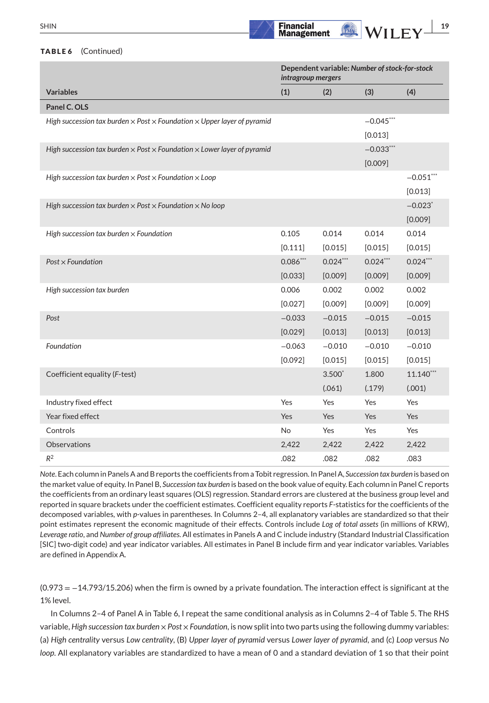## **TABLE 6** (Continued)

|                                                                                              | Dependent variable: Number of stock-for-stock<br>intragroup mergers |            |             |                       |
|----------------------------------------------------------------------------------------------|---------------------------------------------------------------------|------------|-------------|-----------------------|
| <b>Variables</b>                                                                             | (1)                                                                 | (2)        | (3)         | (4)                   |
| Panel C. OLS                                                                                 |                                                                     |            |             |                       |
| High succession tax burden $\times$ Post $\times$ Foundation $\times$ Upper layer of pyramid |                                                                     |            | $-0.045***$ |                       |
|                                                                                              |                                                                     |            | [0.013]     |                       |
| High succession tax burden $\times$ Post $\times$ Foundation $\times$ Lower layer of pyramid |                                                                     |            | $-0.033***$ |                       |
|                                                                                              |                                                                     |            | [0.009]     |                       |
| High succession tax burden $\times$ Post $\times$ Foundation $\times$ Loop                   |                                                                     |            |             | $-0.051$ ***          |
|                                                                                              |                                                                     |            |             | [0.013]               |
| High succession tax burden $\times$ Post $\times$ Foundation $\times$ No loop                |                                                                     |            |             | $-0.023$ <sup>*</sup> |
|                                                                                              |                                                                     |            |             | [0.009]               |
| High succession tax burden $\times$ Foundation                                               | 0.105                                                               | 0.014      | 0.014       | 0.014                 |
|                                                                                              | [0.111]                                                             | [0.015]    | [0.015]     | [0.015]               |
| $Post \times Foundation$                                                                     | $0.086***$                                                          | $0.024***$ | $0.024***$  | $0.024***$            |
|                                                                                              | [0.033]                                                             | [0.009]    | [0.009]     | [0.009]               |
| High succession tax burden                                                                   | 0.006                                                               | 0.002      | 0.002       | 0.002                 |
|                                                                                              | [0.027]                                                             | [0.009]    | [0.009]     | [0.009]               |
| Post                                                                                         | $-0.033$                                                            | $-0.015$   | $-0.015$    | $-0.015$              |
|                                                                                              | [0.029]                                                             | [0.013]    | [0.013]     | [0.013]               |
| Foundation                                                                                   | $-0.063$                                                            | $-0.010$   | $-0.010$    | $-0.010$              |
|                                                                                              | [0.092]                                                             | [0.015]    | [0.015]     | [0.015]               |
| Coefficient equality (F-test)                                                                |                                                                     | $3.500*$   | 1.800       | 11.140***             |
|                                                                                              |                                                                     | (.061)     | (.179)      | (.001)                |
| Industry fixed effect                                                                        | Yes                                                                 | Yes        | Yes         | Yes                   |
| Year fixed effect                                                                            | Yes                                                                 | Yes        | Yes         | Yes                   |
| Controls                                                                                     | <b>No</b>                                                           | Yes        | Yes         | Yes                   |
| Observations                                                                                 | 2,422                                                               | 2,422      | 2,422       | 2,422                 |
| $R^2$                                                                                        | .082                                                                | .082       | .082        | .083                  |

*Note*. Each column in Panels A and B reports the coefficients from a Tobit regression. In Panel A, *Succession tax burden* is based on the market value of equity. In Panel B, *Succession tax burden* is based on the book value of equity. Each column in Panel C reports the coefficients from an ordinary least squares (OLS) regression. Standard errors are clustered at the business group level and reported in square brackets under the coefficient estimates. Coefficient equality reports *F*-statistics for the coefficients of the decomposed variables, with *p*-values in parentheses. In Columns 2–4, all explanatory variables are standardized so that their point estimates represent the economic magnitude of their effects. Controls include *Log of total assets* (in millions of KRW), *Leverage ratio*, and *Number of group affiliates*. All estimates in Panels A and C include industry (Standard Industrial Classification [SIC] two-digit code) and year indicator variables. All estimates in Panel B include firm and year indicator variables. Variables are defined in Appendix A.

(0.973 = −14.793/15.206) when the firm is owned by a private foundation. The interaction effect is significant at the 1% level.

In Columns 2–4 of Panel A in Table 6, I repeat the same conditional analysis as in Columns 2–4 of Table 5. The RHS variable, *High succession tax burden* × *Post* × *Foundation*, is now split into two parts using the following dummy variables: (a) *High centrality* versus *Low centrality*, (B) *Upper layer of pyramid* versus *Lower layer of pyramid*, and (c) *Loop* versus *No loop*. All explanatory variables are standardized to have a mean of 0 and a standard deviation of 1 so that their point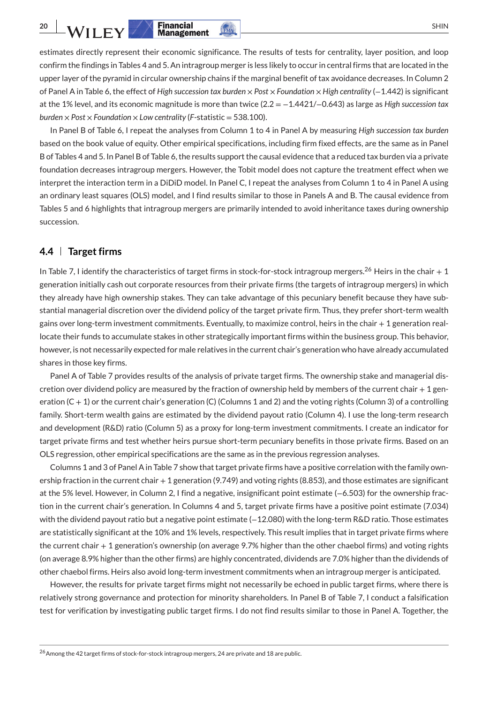estimates directly represent their economic significance. The results of tests for centrality, layer position, and loop confirm the findings in Tables 4 and 5. An intragroup merger is less likely to occur in central firms that are located in the upper layer of the pyramid in circular ownership chains if the marginal benefit of tax avoidance decreases. In Column 2 of Panel A in Table 6, the effect of *High succession tax burden* × *Post* × *Foundation* × *High centrality* (−1.442) is significant at the 1% level, and its economic magnitude is more than twice (2.2 = −1.4421/−0.643) as large as *High succession tax burden*  $\times$  *Post*  $\times$  *Foundation*  $\times$  *Low centrality* (*F*-statistic = 538.100).

In Panel B of Table 6, I repeat the analyses from Column 1 to 4 in Panel A by measuring *High succession tax burden* based on the book value of equity. Other empirical specifications, including firm fixed effects, are the same as in Panel B of Tables 4 and 5. In Panel B of Table 6, the results support the causal evidence that a reduced tax burden via a private foundation decreases intragroup mergers. However, the Tobit model does not capture the treatment effect when we interpret the interaction term in a DiDiD model. In Panel C, I repeat the analyses from Column 1 to 4 in Panel A using an ordinary least squares (OLS) model, and I find results similar to those in Panels A and B. The causal evidence from Tables 5 and 6 highlights that intragroup mergers are primarily intended to avoid inheritance taxes during ownership succession.

## **4.4 Target firms**

In Table 7, I identify the characteristics of target firms in stock-for-stock intragroup mergers.<sup>26</sup> Heirs in the chair  $+1$ generation initially cash out corporate resources from their private firms (the targets of intragroup mergers) in which they already have high ownership stakes. They can take advantage of this pecuniary benefit because they have substantial managerial discretion over the dividend policy of the target private firm. Thus, they prefer short-term wealth gains over long-term investment commitments. Eventually, to maximize control, heirs in the chair + 1 generation reallocate their funds to accumulate stakes in other strategically important firms within the business group. This behavior, however, is not necessarily expected for male relatives in the current chair's generation who have already accumulated shares in those key firms.

Panel A of Table 7 provides results of the analysis of private target firms. The ownership stake and managerial discretion over dividend policy are measured by the fraction of ownership held by members of the current chair  $+1$  generation  $(C + 1)$  or the current chair's generation  $(C)$  (Columns 1 and 2) and the voting rights (Column 3) of a controlling family. Short-term wealth gains are estimated by the dividend payout ratio (Column 4). I use the long-term research and development (R&D) ratio (Column 5) as a proxy for long-term investment commitments. I create an indicator for target private firms and test whether heirs pursue short-term pecuniary benefits in those private firms. Based on an OLS regression, other empirical specifications are the same as in the previous regression analyses.

Columns 1 and 3 of Panel A in Table 7 show that target private firms have a positive correlation with the family ownership fraction in the current chair + 1 generation (9.749) and voting rights (8.853), and those estimates are significant at the 5% level. However, in Column 2, I find a negative, insignificant point estimate (−6.503) for the ownership fraction in the current chair's generation. In Columns 4 and 5, target private firms have a positive point estimate (7.034) with the dividend payout ratio but a negative point estimate (−12.080) with the long-term R&D ratio. Those estimates are statistically significant at the 10% and 1% levels, respectively. This result implies that in target private firms where the current chair + 1 generation's ownership (on average 9.7% higher than the other chaebol firms) and voting rights (on average 8.9% higher than the other firms) are highly concentrated, dividends are 7.0% higher than the dividends of other chaebol firms. Heirs also avoid long-term investment commitments when an intragroup merger is anticipated.

However, the results for private target firms might not necessarily be echoed in public target firms, where there is relatively strong governance and protection for minority shareholders. In Panel B of Table 7, I conduct a falsification test for verification by investigating public target firms. I do not find results similar to those in Panel A. Together, the

<sup>&</sup>lt;sup>26</sup> Among the 42 target firms of stock-for-stock intragroup mergers, 24 are private and 18 are public.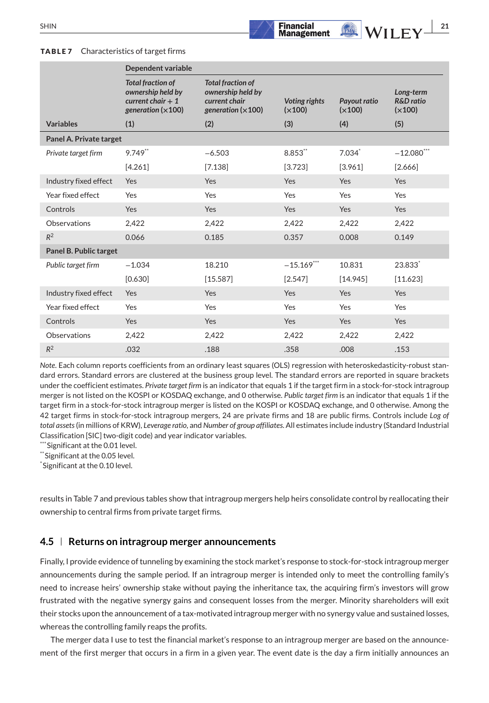

|                         | Dependent variable                                                                                |                                                                                       |                                |                               |                                             |  |  |  |
|-------------------------|---------------------------------------------------------------------------------------------------|---------------------------------------------------------------------------------------|--------------------------------|-------------------------------|---------------------------------------------|--|--|--|
|                         | <b>Total fraction of</b><br>ownership held by<br>current chair $+1$<br>generation ( $\times$ 100) | <b>Total fraction of</b><br>ownership held by<br>current chair<br>generation $(x100)$ | <b>Voting rights</b><br>(x100) | <b>Payout ratio</b><br>(x100) | Long-term<br><b>R&amp;D</b> ratio<br>(x100) |  |  |  |
| <b>Variables</b>        | (1)                                                                                               | (2)                                                                                   | (3)                            | (4)                           | (5)                                         |  |  |  |
| Panel A. Private target |                                                                                                   |                                                                                       |                                |                               |                                             |  |  |  |
| Private target firm     | 9.749**                                                                                           | $-6.503$                                                                              | 8.853**                        | $7.034*$                      | $-12.080***$                                |  |  |  |
|                         | [4.261]                                                                                           | [7.138]                                                                               | [3.723]                        | [3.961]                       | [2.666]                                     |  |  |  |
| Industry fixed effect   | Yes                                                                                               | Yes                                                                                   | Yes                            | Yes                           | <b>Yes</b>                                  |  |  |  |
| Year fixed effect       | Yes                                                                                               | Yes                                                                                   | Yes                            | Yes                           | Yes                                         |  |  |  |
| Controls                | Yes                                                                                               | Yes                                                                                   | Yes                            | Yes                           | Yes                                         |  |  |  |
| Observations            | 2,422                                                                                             | 2,422                                                                                 | 2,422                          | 2,422                         | 2,422                                       |  |  |  |
| $R^2$                   | 0.066                                                                                             | 0.185                                                                                 | 0.357                          | 0.008                         | 0.149                                       |  |  |  |
| Panel B. Public target  |                                                                                                   |                                                                                       |                                |                               |                                             |  |  |  |
| Public target firm      | $-1.034$                                                                                          | 18.210                                                                                | $-15.169$ ***                  | 10.831                        | 23.833                                      |  |  |  |
|                         | [0.630]                                                                                           | [15.587]                                                                              | [2.547]                        | [14.945]                      | [11.623]                                    |  |  |  |
| Industry fixed effect   | Yes                                                                                               | Yes                                                                                   | Yes                            | Yes                           | Yes                                         |  |  |  |
| Year fixed effect       | Yes                                                                                               | Yes                                                                                   | Yes                            | Yes                           | Yes                                         |  |  |  |
| Controls                | Yes                                                                                               | Yes                                                                                   | Yes                            | Yes                           | <b>Yes</b>                                  |  |  |  |
| Observations            | 2,422                                                                                             | 2,422                                                                                 | 2,422                          | 2,422                         | 2,422                                       |  |  |  |
| $R^2$                   | .032                                                                                              | .188                                                                                  | .358                           | .008                          | .153                                        |  |  |  |

*Note*. Each column reports coefficients from an ordinary least squares (OLS) regression with heteroskedasticity-robust standard errors. Standard errors are clustered at the business group level. The standard errors are reported in square brackets under the coefficient estimates. *Private target firm* is an indicator that equals 1 if the target firm in a stock-for-stock intragroup merger is not listed on the KOSPI or KOSDAQ exchange, and 0 otherwise. *Public target firm* is an indicator that equals 1 if the target firm in a stock-for-stock intragroup merger is listed on the KOSPI or KOSDAQ exchange, and 0 otherwise. Among the 42 target firms in stock-for-stock intragroup mergers, 24 are private firms and 18 are public firms. Controls include *Log of total assets*(in millions of KRW), *Leverage ratio*, and *Number of group affiliates*. All estimates include industry (Standard Industrial Classification [SIC] two-digit code) and year indicator variables.

\*\*\*Significant at the 0.01 level.

\*\*Significant at the 0.05 level.

\* Significant at the 0.10 level.

results in Table 7 and previous tables show that intragroup mergers help heirs consolidate control by reallocating their ownership to central firms from private target firms.

## **4.5 Returns on intragroup merger announcements**

Finally, I provide evidence of tunneling by examining the stock market's response to stock-for-stock intragroup merger announcements during the sample period. If an intragroup merger is intended only to meet the controlling family's need to increase heirs' ownership stake without paying the inheritance tax, the acquiring firm's investors will grow frustrated with the negative synergy gains and consequent losses from the merger. Minority shareholders will exit their stocks upon the announcement of a tax-motivated intragroup merger with no synergy value and sustained losses, whereas the controlling family reaps the profits.

The merger data I use to test the financial market's response to an intragroup merger are based on the announcement of the first merger that occurs in a firm in a given year. The event date is the day a firm initially announces an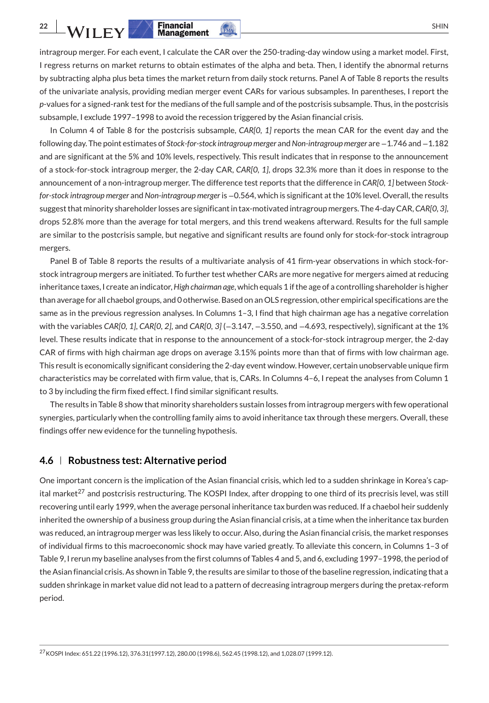intragroup merger. For each event, I calculate the CAR over the 250-trading-day window using a market model. First, I regress returns on market returns to obtain estimates of the alpha and beta. Then, I identify the abnormal returns by subtracting alpha plus beta times the market return from daily stock returns. Panel A of Table 8 reports the results of the univariate analysis, providing median merger event CARs for various subsamples. In parentheses, I report the *p*-values for a signed-rank test for the medians of the full sample and of the postcrisis subsample. Thus, in the postcrisis subsample, I exclude 1997–1998 to avoid the recession triggered by the Asian financial crisis.

In Column 4 of Table 8 for the postcrisis subsample, *CAR[0, 1]* reports the mean CAR for the event day and the following day. The point estimates of *Stock-for-stock intragroup merger* and*Non-intragroup merger* are−1.746 and−1.182 and are significant at the 5% and 10% levels, respectively. This result indicates that in response to the announcement of a stock-for-stock intragroup merger, the 2-day CAR, *CAR[0, 1]*, drops 32.3% more than it does in response to the announcement of a non-intragroup merger. The difference test reports that the difference in *CAR[0, 1]* between *Stockfor-stock intragroup merger* and *Non-intragroup merger*is −0.564, which is significant at the 10% level. Overall, the results suggest that minority shareholder losses are significant in tax-motivated intragroup mergers. The 4-day CAR,*CAR[0, 3]*, drops 52.8% more than the average for total mergers, and this trend weakens afterward. Results for the full sample are similar to the postcrisis sample, but negative and significant results are found only for stock-for-stock intragroup mergers.

Panel B of Table 8 reports the results of a multivariate analysis of 41 firm-year observations in which stock-forstock intragroup mergers are initiated. To further test whether CARs are more negative for mergers aimed at reducing inheritance taxes, I create an indicator,*High chairman age*, which equals 1 if the age of a controlling shareholder is higher than average for all chaebol groups, and 0 otherwise. Based on an OLS regression, other empirical specifications are the same as in the previous regression analyses. In Columns 1–3, I find that high chairman age has a negative correlation with the variables *CAR[0, 1]*, *CAR[0, 2]*, and *CAR[0, 3]* (−3.147, −3.550, and −4.693, respectively), significant at the 1% level. These results indicate that in response to the announcement of a stock-for-stock intragroup merger, the 2-day CAR of firms with high chairman age drops on average 3.15% points more than that of firms with low chairman age. This result is economically significant considering the 2-day event window. However, certain unobservable unique firm characteristics may be correlated with firm value, that is, CARs. In Columns 4–6, I repeat the analyses from Column 1 to 3 by including the firm fixed effect. I find similar significant results.

The results in Table 8 show that minority shareholders sustain losses from intragroup mergers with few operational synergies, particularly when the controlling family aims to avoid inheritance tax through these mergers. Overall, these findings offer new evidence for the tunneling hypothesis.

## **4.6 Robustness test: Alternative period**

One important concern is the implication of the Asian financial crisis, which led to a sudden shrinkage in Korea's capital market<sup>27</sup> and postcrisis restructuring. The KOSPI Index, after dropping to one third of its precrisis level, was still recovering until early 1999, when the average personal inheritance tax burden was reduced. If a chaebol heir suddenly inherited the ownership of a business group during the Asian financial crisis, at a time when the inheritance tax burden was reduced, an intragroup merger was less likely to occur. Also, during the Asian financial crisis, the market responses of individual firms to this macroeconomic shock may have varied greatly. To alleviate this concern, in Columns 1–3 of Table 9, I rerun my baseline analyses from the first columns of Tables 4 and 5, and 6, excluding 1997–1998, the period of the Asian financial crisis. As shown in Table 9, the results are similar to those of the baseline regression, indicating that a sudden shrinkage in market value did not lead to a pattern of decreasing intragroup mergers during the pretax-reform period.

<sup>27</sup>KOSPI Index: 651.22 (1996.12), 376.31(1997.12), 280.00 (1998.6), 562.45 (1998.12), and 1,028.07 (1999.12).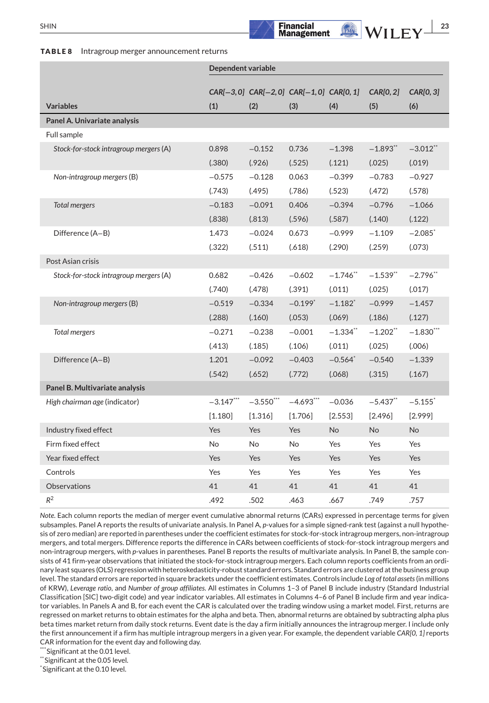**TABLE 8** Intragroup merger announcement returns

|                                        | Dependent variable |                                        |                       |                        |                        |                        |
|----------------------------------------|--------------------|----------------------------------------|-----------------------|------------------------|------------------------|------------------------|
|                                        |                    |                                        |                       |                        |                        |                        |
|                                        |                    | CAR[-3,0] CAR[-2,0] CAR[-1,0] CAR[0,1] |                       |                        | CAR[0, 2]              | CAR[0, 3]              |
| <b>Variables</b>                       | (1)                | (2)                                    | (3)                   | (4)                    | (5)                    | (6)                    |
| Panel A. Univariate analysis           |                    |                                        |                       |                        |                        |                        |
| Full sample                            |                    |                                        |                       |                        |                        |                        |
| Stock-for-stock intragroup mergers (A) | 0.898              | $-0.152$                               | 0.736                 | $-1.398$               | $-1.893**$             | $-3.012$ <sup>**</sup> |
|                                        | (.380)             | (.926)                                 | (.525)                | (.121)                 | (.025)                 | (.019)                 |
| Non-intragroup mergers (B)             | $-0.575$           | $-0.128$                               | 0.063                 | $-0.399$               | $-0.783$               | $-0.927$               |
|                                        | (.743)             | (.495)                                 | (.786)                | (.523)                 | (.472)                 | (.578)                 |
| <b>Total mergers</b>                   | $-0.183$           | $-0.091$                               | 0.406                 | $-0.394$               | $-0.796$               | $-1.066$               |
|                                        | (.838)             | (.813)                                 | (.596)                | (.587)                 | (.140)                 | (.122)                 |
| Difference (A-B)                       | 1.473              | $-0.024$                               | 0.673                 | $-0.999$               | $-1.109$               | $-2.085$ <sup>*</sup>  |
|                                        | (.322)             | (.511)                                 | (.618)                | (.290)                 | (.259)                 | (.073)                 |
| Post Asian crisis                      |                    |                                        |                       |                        |                        |                        |
| Stock-for-stock intragroup mergers (A) | 0.682              | $-0.426$                               | $-0.602$              | $-1.746$ <sup>**</sup> | $-1.539$ <sup>**</sup> | $-2.796$ <sup>**</sup> |
|                                        | (.740)             | (.478)                                 | (.391)                | (.011)                 | (.025)                 | (.017)                 |
| Non-intragroup mergers (B)             | $-0.519$           | $-0.334$                               | $-0.199$ <sup>*</sup> | $-1.182$ <sup>*</sup>  | $-0.999$               | $-1.457$               |
|                                        | (.288)             | (.160)                                 | (.053)                | (.069)                 | (.186)                 | (.127)                 |
| <b>Total mergers</b>                   | $-0.271$           | $-0.238$                               | $-0.001$              | $-1.334$ <sup>**</sup> | $-1.202$ $*$           | $-1.830***$            |
|                                        | (.413)             | (.185)                                 | (.106)                | (.011)                 | (.025)                 | (.006)                 |
| Difference (A-B)                       | 1.201              | $-0.092$                               | $-0.403$              | $-0.564$ <sup>*</sup>  | $-0.540$               | $-1.339$               |
|                                        | (.542)             | (.652)                                 | (.772)                | (.068)                 | (.315)                 | (.167)                 |
| Panel B. Multivariate analysis         |                    |                                        |                       |                        |                        |                        |
| High chairman age (indicator)          | $-3.147***$        | $-3.550$ ***                           | $-4.693***$           | $-0.036$               | $-5.437$ <sup>**</sup> | $-5.155$ <sup>*</sup>  |
|                                        | [1.180]            | [1.316]                                | [1.706]               | [2.553]                | [2.496]                | [2.999]                |
| Industry fixed effect                  | Yes                | Yes                                    | Yes                   | <b>No</b>              | <b>No</b>              | <b>No</b>              |
| Firm fixed effect                      | No                 | No                                     | <b>No</b>             | Yes                    | Yes                    | Yes                    |
| Year fixed effect                      | Yes                | Yes                                    | Yes                   | Yes                    | Yes                    | Yes                    |
| Controls                               | Yes                | Yes                                    | Yes                   | Yes                    | Yes                    | Yes                    |
| <b>Observations</b>                    | 41                 | 41                                     | 41                    | 41                     | 41                     | 41                     |
| $R^2$                                  | .492               | .502                                   | .463                  | .667                   | .749                   | .757                   |

*Note*. Each column reports the median of merger event cumulative abnormal returns (CARs) expressed in percentage terms for given subsamples. Panel A reports the results of univariate analysis. In Panel A, *p*-values for a simple signed-rank test (against a null hypothesis of zero median) are reported in parentheses under the coefficient estimates for stock-for-stock intragroup mergers, non-intragroup mergers, and total mergers. Difference reports the difference in CARs between coefficients of stock-for-stock intragroup mergers and non-intragroup mergers, with *p*-values in parentheses. Panel B reports the results of multivariate analysis. In Panel B, the sample consists of 41 firm-year observations that initiated the stock-for-stock intragroup mergers. Each column reports coefficients from an ordinary least squares (OLS) regression with heteroskedasticity-robust standard errors. Standard errors are clustered at the business group level. The standard errors are reported in square brackets under the coefficient estimates. Controls include *Log of total assets*(in millions of KRW), *Leverage ratio*, and *Number of group affiliates*. All estimates in Columns 1–3 of Panel B include industry (Standard Industrial Classification [SIC] two-digit code) and year indicator variables. All estimates in Columns 4–6 of Panel B include firm and year indicator variables. In Panels A and B, for each event the CAR is calculated over the trading window using a market model. First, returns are regressed on market returns to obtain estimates for the alpha and beta. Then, abnormal returns are obtained by subtracting alpha plus beta times market return from daily stock returns. Event date is the day a firm initially announces the intragroup merger. I include only the first announcement if a firm has multiple intragroup mergers in a given year. For example, the dependent variable *CAR[0, 1]* reports CAR information for the event day and following day.

\*\*\* Significant at the 0.01 level.

\*\*Significant at the 0.05 level.

\*Significant at the 0.10 level.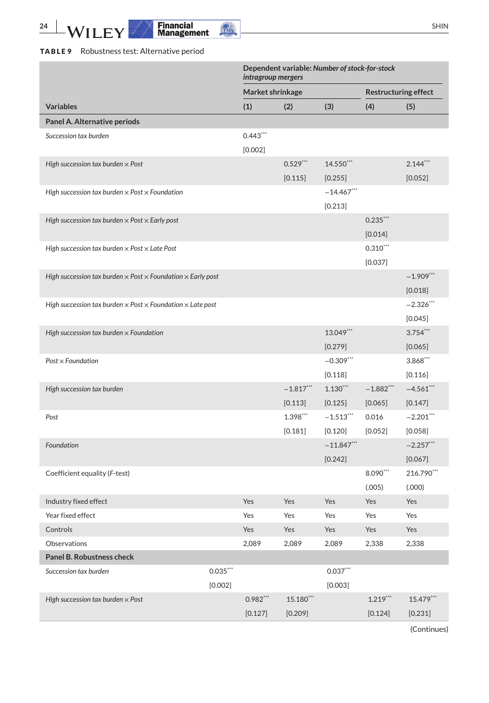

|                                                                                  |             | Dependent variable: Number of stock-for-stock<br>intragroup mergers |              |              |                             |                         |  |
|----------------------------------------------------------------------------------|-------------|---------------------------------------------------------------------|--------------|--------------|-----------------------------|-------------------------|--|
|                                                                                  |             | Market shrinkage                                                    |              |              | <b>Restructuring effect</b> |                         |  |
| <b>Variables</b>                                                                 |             | (1)                                                                 | (2)          | (3)          | (4)                         | (5)                     |  |
| Panel A. Alternative periods                                                     |             |                                                                     |              |              |                             |                         |  |
| Succession tax burden                                                            |             | $0.443***$                                                          |              |              |                             |                         |  |
|                                                                                  |             | [0.002]                                                             |              |              |                             |                         |  |
| High succession tax burden $\times$ Post                                         |             |                                                                     | $0.529$ ***  | 14.550***    |                             | $2.144$ ***             |  |
|                                                                                  |             |                                                                     | [0.115]      | [0.255]      |                             | [0.052]                 |  |
| High succession tax burden $\times$ Post $\times$ Foundation                     |             |                                                                     |              | $-14.467***$ |                             |                         |  |
|                                                                                  |             |                                                                     |              | [0.213]      |                             |                         |  |
| High succession tax burden $\times$ Post $\times$ Early post                     |             |                                                                     |              |              | $0.235***$                  |                         |  |
|                                                                                  |             |                                                                     |              |              | [0.014]                     |                         |  |
| High succession tax burden $\times$ Post $\times$ Late Post                      |             |                                                                     |              |              | $0.310***$                  |                         |  |
|                                                                                  |             |                                                                     |              |              | [0.037]                     |                         |  |
| High succession tax burden $\times$ Post $\times$ Foundation $\times$ Early post |             |                                                                     |              |              |                             | $-1.909***$             |  |
|                                                                                  |             |                                                                     |              |              |                             | [0.018]                 |  |
| High succession tax burden $\times$ Post $\times$ Foundation $\times$ Late post  |             |                                                                     |              |              |                             | $-2.326$ ***            |  |
|                                                                                  |             |                                                                     |              |              |                             | $[0.045]$               |  |
| High succession tax burden $\times$ Foundation                                   |             |                                                                     |              | 13.049***    |                             | $3.754***$              |  |
|                                                                                  |             |                                                                     |              | [0.279]      |                             | [0.065]                 |  |
| $Post \times Foundation$                                                         |             |                                                                     |              | $-0.309***$  |                             | 3.868***                |  |
|                                                                                  |             |                                                                     |              | [0.118]      |                             | [0.116]                 |  |
| High succession tax burden                                                       |             |                                                                     | $-1.817$ *** | $1.130***$   | $-1.882***$                 | $-4.561$ ***            |  |
|                                                                                  |             |                                                                     | [0.113]      | [0.125]      | $[0.065]$                   | [0.147]                 |  |
| Post                                                                             |             |                                                                     | 1.398        | $-1.513***$  | 0.016                       | $-2.201$ <sup>***</sup> |  |
|                                                                                  |             |                                                                     | [0.181]      | [0.120]      | $[0.052]$                   | [0.058]                 |  |
| Foundation                                                                       |             |                                                                     |              | $-11.847***$ |                             | $-2.257***$             |  |
|                                                                                  |             |                                                                     |              | [0.242]      |                             | [0.067]                 |  |
| Coefficient equality (F-test)                                                    |             |                                                                     |              |              | 8.090***                    | 216.790***              |  |
|                                                                                  |             |                                                                     |              |              | (.005)                      | (000)                   |  |
| Industry fixed effect                                                            |             | Yes                                                                 | Yes          | Yes          | Yes                         | Yes                     |  |
| Year fixed effect                                                                |             | Yes                                                                 | Yes          | Yes          | Yes                         | Yes                     |  |
| Controls                                                                         |             | Yes                                                                 | Yes          | Yes          | Yes                         | Yes                     |  |
| Observations                                                                     |             | 2,089                                                               | 2,089        | 2,089        | 2,338                       | 2,338                   |  |
| Panel B. Robustness check                                                        |             |                                                                     |              |              |                             |                         |  |
| Succession tax burden                                                            | $0.035$ *** |                                                                     |              | $0.037***$   |                             |                         |  |
|                                                                                  | [0.002]     |                                                                     |              | [0.003]      |                             |                         |  |
| High succession tax burden $\times$ Post                                         |             | $0.982***$                                                          | 15.180***    |              | $1.219***$                  | 15.479***               |  |
|                                                                                  |             | [0.127]                                                             | [0.209]      |              | [0.124]                     | [0.231]                 |  |

(Continues)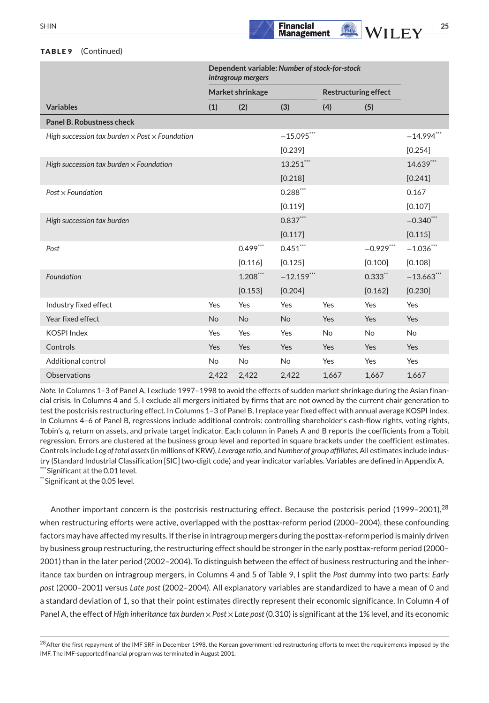## **TABLE 9** (Continued)

|                                                              | Dependent variable: Number of stock-for-stock<br>intragroup mergers |            |              |                             |                       |                          |
|--------------------------------------------------------------|---------------------------------------------------------------------|------------|--------------|-----------------------------|-----------------------|--------------------------|
|                                                              | Market shrinkage                                                    |            |              | <b>Restructuring effect</b> |                       |                          |
| <b>Variables</b>                                             | (1)                                                                 | (2)        | (3)          | (4)                         | (5)                   |                          |
| Panel B. Robustness check                                    |                                                                     |            |              |                             |                       |                          |
| High succession tax burden $\times$ Post $\times$ Foundation |                                                                     |            | $-15.095***$ |                             |                       | $-14.994$ <sup>***</sup> |
|                                                              |                                                                     |            | [0.239]      |                             |                       | [0.254]                  |
| High succession tax burden $\times$ Foundation               |                                                                     |            | $13.251***$  |                             |                       | 14.639***                |
|                                                              |                                                                     |            | [0.218]      |                             |                       | [0.241]                  |
| $Post \times Foundation$                                     |                                                                     |            | $0.288***$   |                             |                       | 0.167                    |
|                                                              |                                                                     |            | [0.119]      |                             |                       | [0.107]                  |
| High succession tax burden                                   |                                                                     |            | $0.837***$   |                             |                       | $-0.340***$              |
|                                                              |                                                                     |            | [0.117]      |                             |                       | [0.115]                  |
| Post                                                         |                                                                     | $0.499***$ | $0.451***$   |                             | $-0.929***$           | $-1.036$ ***             |
|                                                              |                                                                     | [0.116]    | [0.125]      |                             | [0.100]               | [0.108]                  |
| Foundation                                                   |                                                                     | $1.208***$ | $-12.159***$ |                             | $0.333$ <sup>**</sup> | $-13.663***$             |
|                                                              |                                                                     | [0.153]    | [0.204]      |                             | [0.162]               | [0.230]                  |
| Industry fixed effect                                        | Yes                                                                 | Yes        | Yes          | Yes                         | Yes                   | Yes                      |
| Year fixed effect                                            | <b>No</b>                                                           | <b>No</b>  | <b>No</b>    | Yes                         | Yes                   | Yes                      |
| <b>KOSPI Index</b>                                           | Yes                                                                 | Yes        | Yes          | <b>No</b>                   | No                    | <b>No</b>                |
| Controls                                                     | Yes                                                                 | Yes        | Yes          | Yes                         | Yes                   | Yes                      |
| Additional control                                           | <b>No</b>                                                           | <b>No</b>  | <b>No</b>    | Yes                         | Yes                   | Yes                      |
| Observations                                                 | 2,422                                                               | 2,422      | 2,422        | 1,667                       | 1,667                 | 1,667                    |

*Note*. In Columns 1–3 of Panel A, I exclude 1997–1998 to avoid the effects of sudden market shrinkage during the Asian financial crisis. In Columns 4 and 5, I exclude all mergers initiated by firms that are not owned by the current chair generation to test the postcrisis restructuring effect. In Columns 1–3 of Panel B, I replace year fixed effect with annual average KOSPI Index. In Columns 4–6 of Panel B, regressions include additional controls: controlling shareholder's cash-flow rights, voting rights, Tobin's *q*, return on assets, and private target indicator. Each column in Panels A and B reports the coefficients from a Tobit regression. Errors are clustered at the business group level and reported in square brackets under the coefficient estimates. Controls include *Log of total assets*(in millions of KRW), *Leverage ratio*, and*Number of group affiliates*. All estimates include industry (Standard Industrial Classification [SIC] two-digit code) and year indicator variables. Variables are defined in Appendix A.  $\mathop{\mathsf{Significant}}$  at the 0.01 level.

\*\*Significant at the 0.05 level.

Another important concern is the postcrisis restructuring effect. Because the postcrisis period (1999-2001),<sup>28</sup> when restructuring efforts were active, overlapped with the posttax-reform period (2000–2004), these confounding factors may have affected my results. If the rise in intragroup mergers during the posttax-reform period is mainly driven by business group restructuring, the restructuring effect should be stronger in the early posttax-reform period (2000– 2001) than in the later period (2002–2004). To distinguish between the effect of business restructuring and the inheritance tax burden on intragroup mergers, in Columns 4 and 5 of Table 9, I split the *Post* dummy into two parts: *Early post* (2000–2001) versus *Late post* (2002–2004). All explanatory variables are standardized to have a mean of 0 and a standard deviation of 1, so that their point estimates directly represent their economic significance. In Column 4 of Panel A, the effect of *High inheritance tax burden* × *Post* × *Late post* (0.310) is significant at the 1% level, and its economic

<sup>28</sup>After the first repayment of the IMF SRF in December 1998, the Korean government led restructuring efforts to meet the requirements imposed by the IMF. The IMF-supported financial program was terminated in August 2001.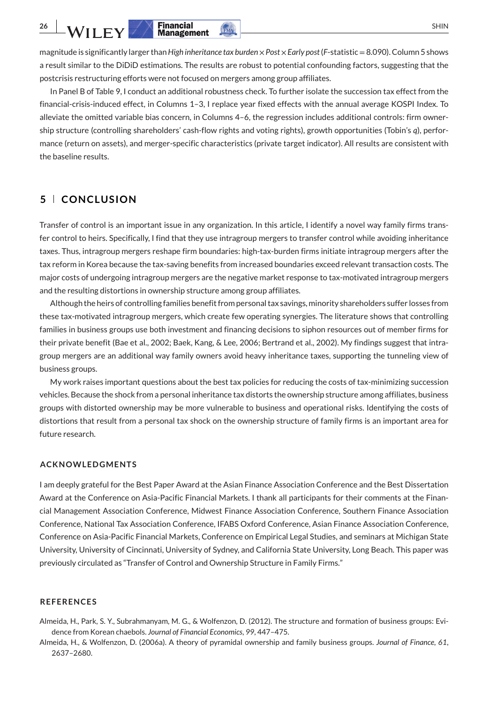magnitude is significantly larger than *High inheritance tax burden* × *Post* × *Early post* (*F*-statistic = 8.090). Column 5 shows a result similar to the DiDiD estimations. The results are robust to potential confounding factors, suggesting that the postcrisis restructuring efforts were not focused on mergers among group affiliates.

In Panel B of Table 9, I conduct an additional robustness check. To further isolate the succession tax effect from the financial-crisis-induced effect, in Columns 1–3, I replace year fixed effects with the annual average KOSPI Index. To alleviate the omitted variable bias concern, in Columns 4–6, the regression includes additional controls: firm ownership structure (controlling shareholders' cash-flow rights and voting rights), growth opportunities (Tobin's *q*), performance (return on assets), and merger-specific characteristics (private target indicator). All results are consistent with the baseline results.

## **5 CONCLUSION**

Transfer of control is an important issue in any organization. In this article, I identify a novel way family firms transfer control to heirs. Specifically, I find that they use intragroup mergers to transfer control while avoiding inheritance taxes. Thus, intragroup mergers reshape firm boundaries: high-tax-burden firms initiate intragroup mergers after the tax reform in Korea because the tax-saving benefits from increased boundaries exceed relevant transaction costs. The major costs of undergoing intragroup mergers are the negative market response to tax-motivated intragroup mergers and the resulting distortions in ownership structure among group affiliates.

Although the heirs of controlling families benefit from personal tax savings, minority shareholders suffer losses from these tax-motivated intragroup mergers, which create few operating synergies. The literature shows that controlling families in business groups use both investment and financing decisions to siphon resources out of member firms for their private benefit (Bae et al., 2002; Baek, Kang, & Lee, 2006; Bertrand et al., 2002). My findings suggest that intragroup mergers are an additional way family owners avoid heavy inheritance taxes, supporting the tunneling view of business groups.

My work raises important questions about the best tax policies for reducing the costs of tax-minimizing succession vehicles. Because the shock from a personal inheritance tax distorts the ownership structure among affiliates, business groups with distorted ownership may be more vulnerable to business and operational risks. Identifying the costs of distortions that result from a personal tax shock on the ownership structure of family firms is an important area for future research.

## **ACKNOWLEDGMENTS**

I am deeply grateful for the Best Paper Award at the Asian Finance Association Conference and the Best Dissertation Award at the Conference on Asia-Pacific Financial Markets. I thank all participants for their comments at the Financial Management Association Conference, Midwest Finance Association Conference, Southern Finance Association Conference, National Tax Association Conference, IFABS Oxford Conference, Asian Finance Association Conference, Conference on Asia-Pacific Financial Markets, Conference on Empirical Legal Studies, and seminars at Michigan State University, University of Cincinnati, University of Sydney, and California State University, Long Beach. This paper was previously circulated as "Transfer of Control and Ownership Structure in Family Firms."

## **REFERENCES**

Almeida, H., Park, S. Y., Subrahmanyam, M. G., & Wolfenzon, D. (2012). The structure and formation of business groups: Evidence from Korean chaebols. *Journal of Financial Economics*, *99*, 447–475.

Almeida, H., & Wolfenzon, D. (2006a). A theory of pyramidal ownership and family business groups. *Journal of Finance*, *61*, 2637–2680.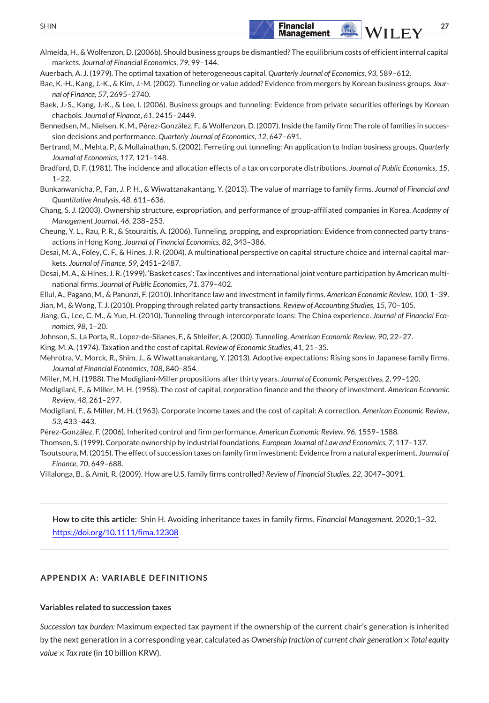

Auerbach, A. J. (1979). The optimal taxation of heterogeneous capital. *Quarterly Journal of Economics*, *93*, 589–612.

- Bae, K.-H., Kang, J.-K., & Kim, J.-M. (2002). Tunneling or value added? Evidence from mergers by Korean business groups. *Journal of Finance*, *57*, 2695–2740.
- Baek, J.-S., Kang, J.-K., & Lee, I. (2006). Business groups and tunneling: Evidence from private securities offerings by Korean chaebols. *Journal of Finance*, *61*, 2415–2449.
- Bennedsen, M., Nielsen, K. M., Pérez-González, F., & Wolfenzon, D. (2007). Inside the family firm: The role of families in succession decisions and performance. *Quarterly Journal of Economics*, *12*, 647–691.
- Bertrand, M., Mehta, P., & Mullainathan, S. (2002). Ferreting out tunneling: An application to Indian business groups. *Quarterly Journal of Economics*, *117*, 121–148.
- Bradford, D. F. (1981). The incidence and allocation effects of a tax on corporate distributions. *Journal of Public Economics*, *15*,  $1 - 22$ .
- Bunkanwanicha, P., Fan, J. P. H., & Wiwattanakantang, Y. (2013). The value of marriage to family firms. *Journal of Financial and Quantitative Analysis*, *48*, 611–636.
- Chang, S. J. (2003). Ownership structure, expropriation, and performance of group-affiliated companies in Korea. *Academy of Management Journal*, *46*, 238–253.
- Cheung, Y. L., Rau, P. R., & Stouraitis, A. (2006). Tunneling, propping, and expropriation: Evidence from connected party transactions in Hong Kong. *Journal of Financial Economics*, *82*, 343–386.
- Desai, M. A., Foley, C. F., & Hines, J. R. (2004). A multinational perspective on capital structure choice and internal capital markets. *Journal of Finance*, *59*, 2451–2487.
- Desai, M. A., & Hines, J. R. (1999). 'Basket cases': Tax incentives and international joint venture participation by American multinational firms. *Journal of Public Economics*, *71*, 379–402.

Ellul, A., Pagano, M., & Panunzi, F. (2010). Inheritance law and investment in family firms. *American Economic Review*, *100*, 1–39.

Jian, M., & Wong, T. J. (2010). Propping through related party transactions. *Review of Accounting Studies*, *15*, 70–105.

Jiang, G., Lee, C. M., & Yue, H. (2010). Tunneling through intercorporate loans: The China experience. *Journal of Financial Economics*, *98*, 1–20.

Johnson, S., La Porta, R., Lopez-de-Silanes, F., & Shleifer, A. (2000). Tunneling. *American Economic Review*, *90*, 22–27.

King, M. A. (1974). Taxation and the cost of capital. *Review of Economic Studies*, *41*, 21–35.

- Mehrotra, V., Morck, R., Shim, J., & Wiwattanakantang, Y. (2013). Adoptive expectations: Rising sons in Japanese family firms. *Journal of Financial Economics*, *108*, 840–854.
- Miller, M. H. (1988). The Modigliani-Miller propositions after thirty years. *Journal of Economic Perspectives*, *2*, 99–120.
- Modigliani, F., & Miller, M. H. (1958). The cost of capital, corporation finance and the theory of investment. *American Economic Review*, *48*, 261–297.
- Modigliani, F., & Miller, M. H. (1963). Corporate income taxes and the cost of capital: A correction. *American Economic Review*, *53*, 433–443.
- Pérez-González, F. (2006). Inherited control and firm performance. *American Economic Review*, *96*, 1559–1588.
- Thomsen, S. (1999). Corporate ownership by industrial foundations. *European Journal of Law and Economics*, *7*, 117–137.
- Tsoutsoura, M. (2015). The effect of succession taxes on family firm investment: Evidence from a natural experiment. *Journal of Finance*, *70*, 649–688.

Villalonga, B., & Amit, R. (2009). How are U.S. family firms controlled? *Review of Financial Studies*, *22*, 3047–3091.

**How to cite this article:** Shin H. Avoiding inheritance taxes in family firms. *Financial Management*. 2020;1–32. <https://doi.org/10.1111/fima.12308>

#### **APPEND IX A: VAR IABLE DEF IN IT IONS**

#### **Variables related to succession taxes**

*Succession tax burden:* Maximum expected tax payment if the ownership of the current chair's generation is inherited by the next generation in a corresponding year, calculated as *Ownership fraction of current chair generation*  $\times$  *Total equity value* × *Tax rate* (in 10 billion KRW).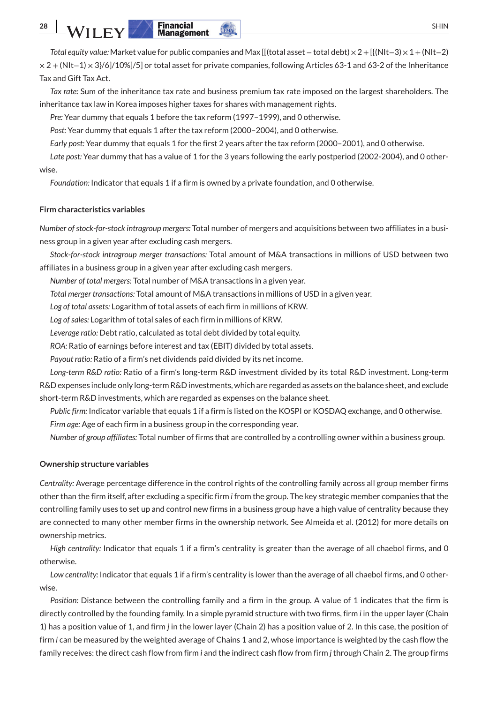*Total equity value:* Market value for public companies and Max [[(total asset−total debt) × 2+[{(NIt−3) × 1+(NIt−2) × 2 + (NIt−1) × 3}/6]/10%]/5] or total asset for private companies, following Articles 63-1 and 63-2 of the Inheritance Tax and Gift Tax Act.

*Tax rate:* Sum of the inheritance tax rate and business premium tax rate imposed on the largest shareholders. The inheritance tax law in Korea imposes higher taxes for shares with management rights.

*Pre:* Year dummy that equals 1 before the tax reform (1997–1999), and 0 otherwise.

*Post:* Year dummy that equals 1 after the tax reform (2000–2004), and 0 otherwise.

*Early post:* Year dummy that equals 1 for the first 2 years after the tax reform (2000–2001), and 0 otherwise.

*Late post:* Year dummy that has a value of 1 for the 3 years following the early postperiod (2002-2004), and 0 otherwise.

*Foundation:* Indicator that equals 1 if a firm is owned by a private foundation, and 0 otherwise.

#### **Firm characteristics variables**

*Number of stock-for-stock intragroup mergers:* Total number of mergers and acquisitions between two affiliates in a business group in a given year after excluding cash mergers.

*Stock-for-stock intragroup merger transactions:* Total amount of M&A transactions in millions of USD between two affiliates in a business group in a given year after excluding cash mergers.

*Number of total mergers:* Total number of M&A transactions in a given year.

*Total merger transactions:* Total amount of M&A transactions in millions of USD in a given year.

*Log of total assets:* Logarithm of total assets of each firm in millions of KRW.

*Log of sales:* Logarithm of total sales of each firm in millions of KRW.

*Leverage ratio:* Debt ratio, calculated as total debt divided by total equity.

*ROA:* Ratio of earnings before interest and tax (EBIT) divided by total assets.

*Payout ratio:* Ratio of a firm's net dividends paid divided by its net income.

*Long-term R&D ratio:* Ratio of a firm's long-term R&D investment divided by its total R&D investment. Long-term R&D expenses include only long-term R&D investments, which are regarded as assets on the balance sheet, and exclude short-term R&D investments, which are regarded as expenses on the balance sheet.

*Public firm:* Indicator variable that equals 1 if a firm is listed on the KOSPI or KOSDAQ exchange, and 0 otherwise. *Firm age:* Age of each firm in a business group in the corresponding year.

*Number of group affiliates:* Total number of firms that are controlled by a controlling owner within a business group.

#### **Ownership structure variables**

*Centrality:* Average percentage difference in the control rights of the controlling family across all group member firms other than the firm itself, after excluding a specific firm *i* from the group. The key strategic member companies that the controlling family uses to set up and control new firms in a business group have a high value of centrality because they are connected to many other member firms in the ownership network. See Almeida et al. (2012) for more details on ownership metrics.

*High centrality:* Indicator that equals 1 if a firm's centrality is greater than the average of all chaebol firms, and 0 otherwise.

*Low centrality:* Indicator that equals 1 if a firm's centrality is lower than the average of all chaebol firms, and 0 otherwise.

*Position:* Distance between the controlling family and a firm in the group. A value of 1 indicates that the firm is directly controlled by the founding family. In a simple pyramid structure with two firms, firm *i* in the upper layer (Chain 1) has a position value of 1, and firm *j* in the lower layer (Chain 2) has a position value of 2. In this case, the position of firm *i* can be measured by the weighted average of Chains 1 and 2, whose importance is weighted by the cash flow the family receives: the direct cash flow from firm *i* and the indirect cash flow from firm *j* through Chain 2. The group firms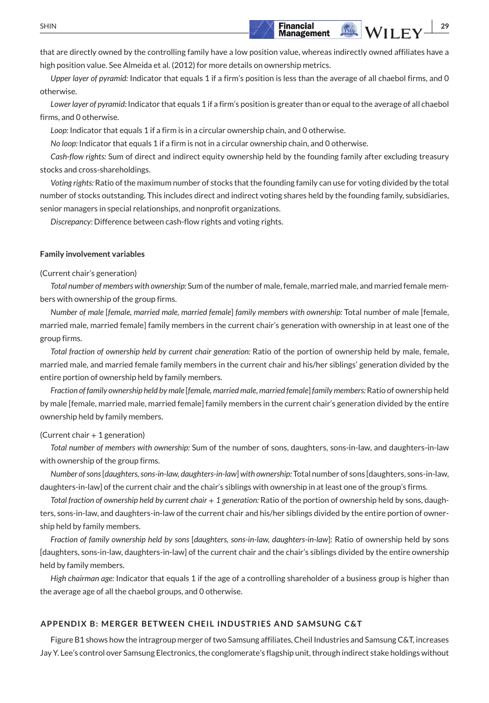*Upper layer of pyramid:* Indicator that equals 1 if a firm's position is less than the average of all chaebol firms, and 0 otherwise.

*Lower layer of pyramid:* Indicator that equals 1 if a firm's position is greater than or equal to the average of all chaebol firms, and 0 otherwise.

*Loop:* Indicator that equals 1 if a firm is in a circular ownership chain, and 0 otherwise.

*No loop:* Indicator that equals 1 if a firm is not in a circular ownership chain, and 0 otherwise.

*Cash-flow rights:* Sum of direct and indirect equity ownership held by the founding family after excluding treasury stocks and cross-shareholdings.

*Voting rights:* Ratio of the maximum number of stocks that the founding family can use for voting divided by the total number of stocks outstanding. This includes direct and indirect voting shares held by the founding family, subsidiaries, senior managers in special relationships, and nonprofit organizations.

*Discrepancy:* Difference between cash-flow rights and voting rights.

#### **Family involvement variables**

#### (Current chair's generation)

*Total number of members with ownership:* Sum of the number of male, female, married male, and married female members with ownership of the group firms.

*Number of male* [*female, married male, married female*] *family members with ownership:* Total number of male [female, married male, married female] family members in the current chair's generation with ownership in at least one of the group firms.

*Total fraction of ownership held by current chair generation:* Ratio of the portion of ownership held by male, female, married male, and married female family members in the current chair and his/her siblings' generation divided by the entire portion of ownership held by family members.

*Fraction of family ownership held by male* [*female, married male, married female*] *family members:*Ratio of ownership held by male [female, married male, married female] family members in the current chair's generation divided by the entire ownership held by family members.

#### (Current chair + 1 generation)

*Total number of members with ownership:* Sum of the number of sons, daughters, sons-in-law, and daughters-in-law with ownership of the group firms.

*Number of sons*[*daughters, sons-in-law, daughters-in-law*] *with ownership:* Total number of sons [daughters, sons-in-law, daughters-in-law] of the current chair and the chair's siblings with ownership in at least one of the group's firms.

*Total fraction of ownership held by current chair* + *1 generation:* Ratio of the portion of ownership held by sons, daughters, sons-in-law, and daughters-in-law of the current chair and his/her siblings divided by the entire portion of ownership held by family members.

*Fraction of family ownership held by sons* [*daughters, sons-in-law, daughters-in-law*]: Ratio of ownership held by sons [daughters, sons-in-law, daughters-in-law] of the current chair and the chair's siblings divided by the entire ownership held by family members.

*High chairman age:* Indicator that equals 1 if the age of a controlling shareholder of a business group is higher than the average age of all the chaebol groups, and 0 otherwise.

## **APPENDIX B: MERGER BETWEEN CHEIL INDUSTRIES AND SAMSUNG C&T**

Figure B1 shows how the intragroup merger of two Samsung affiliates, Cheil Industries and Samsung C&T, increases Jay Y. Lee's control over Samsung Electronics, the conglomerate's flagship unit, through indirect stake holdings without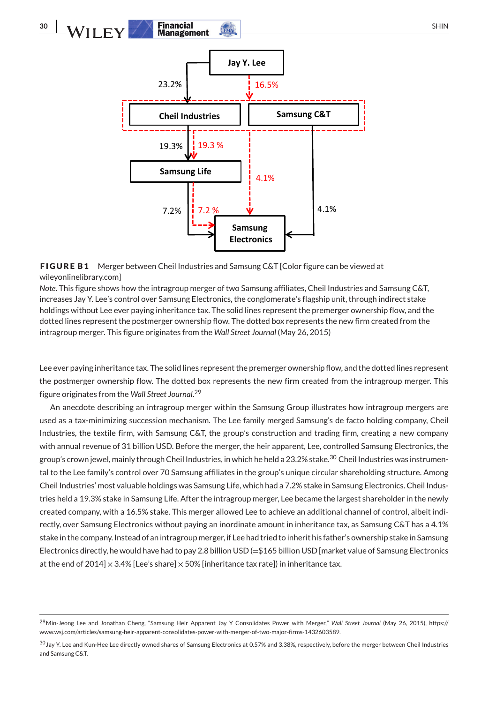**30** SHIN SHIN



**FIGURE B1** Merger between Cheil Industries and Samsung C&T [Color figure can be viewed at wileyonlinelibrary.com]

*Note*. This figure shows how the intragroup merger of two Samsung affiliates, Cheil Industries and Samsung C&T, increases Jay Y. Lee's control over Samsung Electronics, the conglomerate's flagship unit, through indirect stake holdings without Lee ever paying inheritance tax. The solid lines represent the premerger ownership flow, and the dotted lines represent the postmerger ownership flow. The dotted box represents the new firm created from the intragroup merger. This figure originates from the *Wall Street Journal* (May 26, 2015)

Lee ever paying inheritance tax. The solid lines represent the premerger ownership flow, and the dotted lines represent the postmerger ownership flow. The dotted box represents the new firm created from the intragroup merger. This figure originates from the *Wall Street Journal*. 29

An anecdote describing an intragroup merger within the Samsung Group illustrates how intragroup mergers are used as a tax-minimizing succession mechanism. The Lee family merged Samsung's de facto holding company, Cheil Industries, the textile firm, with Samsung C&T, the group's construction and trading firm, creating a new company with annual revenue of 31 billion USD. Before the merger, the heir apparent, Lee, controlled Samsung Electronics, the group's crown jewel, mainly through Cheil Industries, in which he held a 23.2% stake.<sup>30</sup> Cheil Industries was instrumental to the Lee family's control over 70 Samsung affiliates in the group's unique circular shareholding structure. Among Cheil Industries' most valuable holdings was Samsung Life, which had a 7.2% stake in Samsung Electronics. Cheil Industries held a 19.3% stake in Samsung Life. After the intragroup merger, Lee became the largest shareholder in the newly created company, with a 16.5% stake. This merger allowed Lee to achieve an additional channel of control, albeit indirectly, over Samsung Electronics without paying an inordinate amount in inheritance tax, as Samsung C&T has a 4.1% stake in the company. Instead of an intragroup merger, if Lee had tried to inherit his father's ownership stake in Samsung Electronics directly, he would have had to pay 2.8 billion USD (=\$165 billion USD [market value of Samsung Electronics at the end of 2014]  $\times$  3.4% [Lee's share]  $\times$  50% [inheritance tax rate]) in inheritance tax.

<sup>29</sup>Min-Jeong Lee and Jonathan Cheng, "Samsung Heir Apparent Jay Y Consolidates Power with Merger," *Wall Street Journal* (May 26, 2015), [https://](https://www.wsj.com/articles/samsung-heir-apparent-consolidates-power-with-merger-of-two-major-firms-1432603589) [www.wsj.com/articles/samsung-heir-apparent-consolidates-power-with-merger-of-two-major-firms-1432603589.](https://www.wsj.com/articles/samsung-heir-apparent-consolidates-power-with-merger-of-two-major-firms-1432603589)

<sup>30</sup> Jay Y. Lee and Kun-Hee Lee directly owned shares of Samsung Electronics at 0.57% and 3.38%, respectively, before the merger between Cheil Industries and Samsung C&T.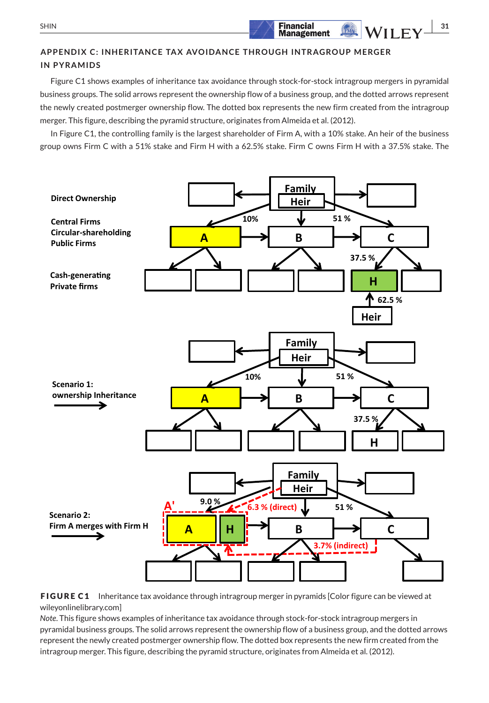Figure C1 shows examples of inheritance tax avoidance through stock-for-stock intragroup mergers in pyramidal business groups. The solid arrows represent the ownership flow of a business group, and the dotted arrows represent the newly created postmerger ownership flow. The dotted box represents the new firm created from the intragroup merger. This figure, describing the pyramid structure, originates from Almeida et al. (2012).

In Figure C1, the controlling family is the largest shareholder of Firm A, with a 10% stake. An heir of the business group owns Firm C with a 51% stake and Firm H with a 62.5% stake. Firm C owns Firm H with a 37.5% stake. The





*Note*. This figure shows examples of inheritance tax avoidance through stock-for-stock intragroup mergers in pyramidal business groups. The solid arrows represent the ownership flow of a business group, and the dotted arrows represent the newly created postmerger ownership flow. The dotted box represents the new firm created from the intragroup merger. This figure, describing the pyramid structure, originates from Almeida et al. (2012).